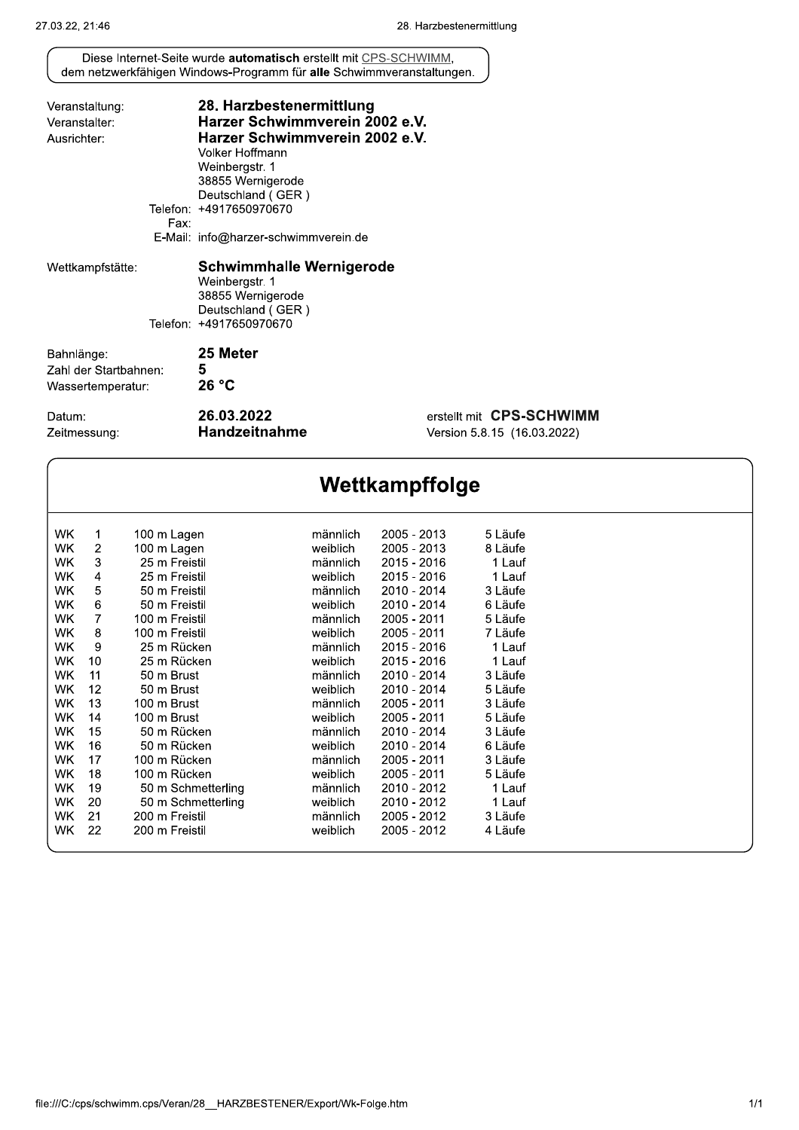| Veranstaltung:        |      | 28. Harzbestenermittlung               |                             |
|-----------------------|------|----------------------------------------|-----------------------------|
| Veranstalter:         |      | Harzer Schwimmverein 2002 e.V.         |                             |
| Ausrichter:           |      | Harzer Schwimmverein 2002 e.V.         |                             |
|                       |      | Volker Hoffmann                        |                             |
|                       |      | Weinbergstr. 1                         |                             |
|                       |      | 38855 Wernigerode                      |                             |
|                       |      | Deutschland (GER)                      |                             |
|                       |      | Telefon: +4917650970670                |                             |
|                       | Fax: | E-Mail: info@harzer-schwimmverein.de   |                             |
| Wettkampfstätte:      |      | <b>Schwimmhalle Wernigerode</b>        |                             |
|                       |      | Weinbergstr. 1                         |                             |
|                       |      | 38855 Wernigerode<br>Deutschland (GER) |                             |
|                       |      | Telefon: +4917650970670                |                             |
| Bahnlänge:            |      | 25 Meter                               |                             |
| Zahl der Startbahnen: |      | 5                                      |                             |
| Wassertemperatur:     |      | 26 °C                                  |                             |
| Datum:                |      | 26.03.2022                             | erstellt mit CPS-SCHWIMM    |
| Zeitmessung:          |      | Handzeitnahme                          | Version 5.8.15 (16.03.2022) |

Wettkampffolge WK  $\mathbf{1}$ 100 m Lagen männlich 2005 - 2013 5 Läufe  $2005 - 2013$ WK  $\sqrt{2}$ 100 m Lagen weiblich 8 Läufe **WK** 25 m Freistil 2015 - 2016 3 männlich 1 Lauf WK  $\overline{4}$ 25 m Freistil weiblich 2015 - 2016 1 Lauf 5 WK 50 m Freistil 2010 - 2014 3 Läufe männlich **WK**  $\overline{6}$ 50 m Freistil 2010 - 2014 weiblich 6 Läufe **WK**  $\overline{7}$ 100 m Freistil männlich 2005 - 2011 5 Läufe 2005 - 2011 WK 8 100 m Freistil weiblich 7 Läufe 2015 - 2016 25 m Rücken WK 9 1 Lauf männlich **WK**  $10$ 25 m Rücken 2015 - 2016 1 Lauf weiblich **WK** 50 m Brust 2010 - 2014 3 Läufe  $11$ männlich WK  $12$ 50 m Brust weiblich 2010 - 2014 5 Läufe WK 13 100 m Brust männlich 2005 - 2011 3 Läufe **WK** 100 m Brust 2005 - 2011 5 Läufe 14 weiblich **WK** 50 m Rücken 2010 - 2014 3 Läufe 15 männlich 50 m Rücken 2010 - 2014 WK 16 weiblich 6 Läufe 100 m Rücken 2005 - 2011 **WK** männlich 3 Läufe  $17$ 100 m Rücken 2005 - 2011 **WK** 18 5 Läufe weiblich **WK** 50 m Schmetterling  $2010 - 2012$ 1 Lauf 19 männlich 50 m Schmetterling **WK** 20 weiblich 2010 - 2012 1 Lauf 200 m Freistil **WK**  $21$ männlich 2005 - 2012 3 Läufe WK  $22$ 200 m Freistil weiblich 2005 - 2012 4 Läufe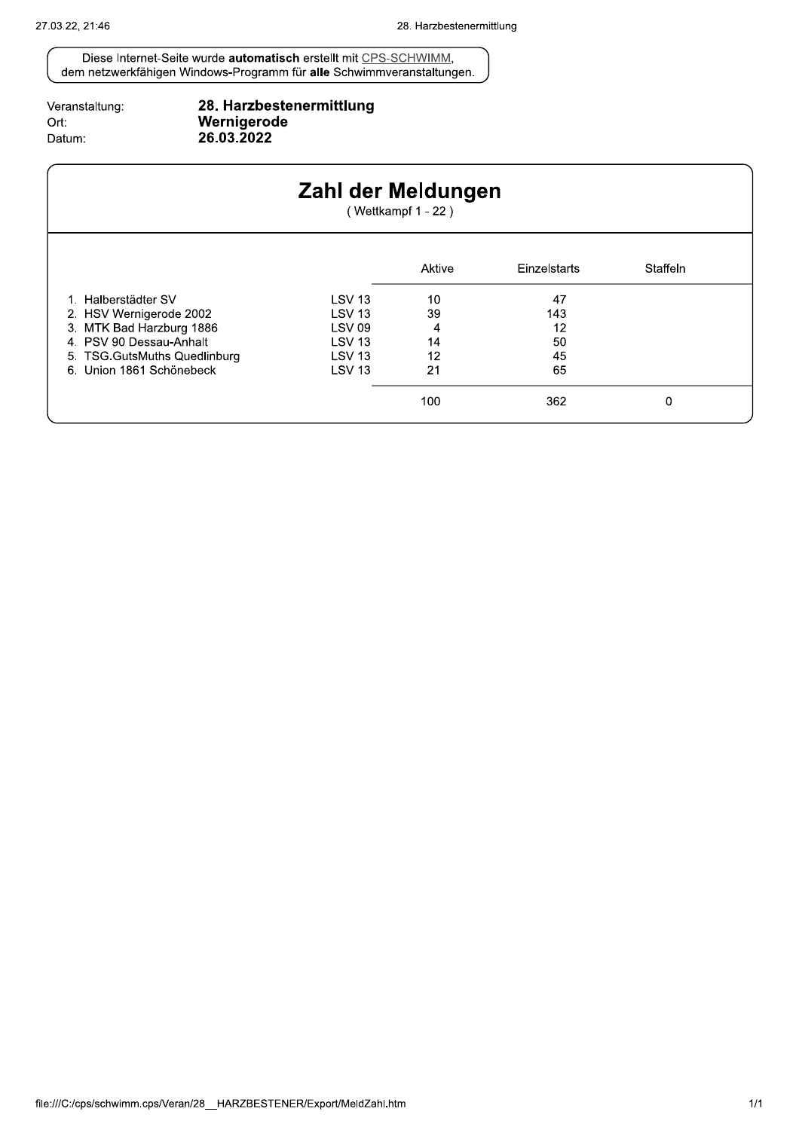| Veranstaltung: |
|----------------|
| Ort:           |
| Datum:         |

# 28. Harzbestenermittlung<br>Wernigerode<br>26.03.2022

|                               | Zahl der Meldungen | (Wettkampf 1 - 22) |              |          |  |
|-------------------------------|--------------------|--------------------|--------------|----------|--|
|                               |                    | Aktive             | Einzelstarts | Staffeln |  |
| 1. Halberstädter SV           | <b>LSV 13</b>      | 10                 | 47           |          |  |
| 2. HSV Wernigerode 2002       | <b>LSV 13</b>      | 39                 | 143          |          |  |
| 3. MTK Bad Harzburg 1886      | <b>LSV 09</b>      | 4                  | 12           |          |  |
| 4. PSV 90 Dessau-Anhalt       | <b>LSV 13</b>      | 14                 | 50           |          |  |
| 5. TSG. GutsMuths Quedlinburg | <b>LSV 13</b>      | 12                 | 45           |          |  |
| 6. Union 1861 Schönebeck      | <b>LSV 13</b>      | 21                 | 65           |          |  |
|                               |                    | 100                | 362          | 0        |  |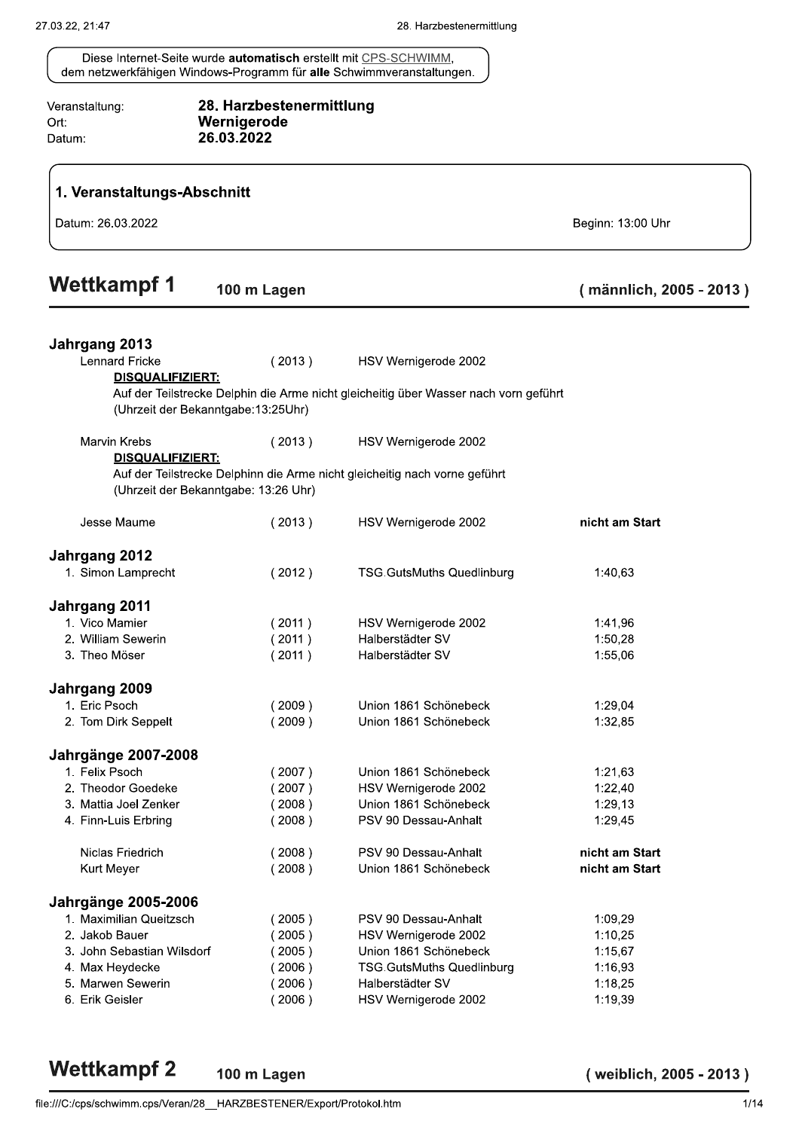28. Harzbestenermittlung Veranstaltung: Wernigerode Ort: 26.03.2022 Datum: 1. Veranstaltungs-Abschnitt Datum: 26.03.2022 Beginn: 13:00 Uhr **Wettkampf1** 100 m Lagen (männlich, 2005 - 2013) Jahrgang 2013 **Lennard Fricke**  $(2013)$ HSV Wernigerode 2002 **DISQUALIFIZIERT:** Auf der Teilstrecke Delphin die Arme nicht gleicheitig über Wasser nach vorn geführt (Uhrzeit der Bekanntgabe:13:25Uhr) **Marvin Krebs**  $(2013)$ HSV Wernigerode 2002 **DISQUALIFIZIERT:** Auf der Teilstrecke Delphinn die Arme nicht gleicheitig nach vorne geführt (Uhrzeit der Bekanntgabe: 13:26 Uhr) nicht am Start Jesse Maume  $(2013)$ HSV Wernigerode 2002 Jahrgang 2012 1. Simon Lamprecht  $(2012)$ **TSG.GutsMuths Quedlinburg** 1:40,63 Jahrgang 2011 1. Vico Mamier  $(2011)$ HSV Wernigerode 2002 1:41,96 2. William Sewerin  $(2011)$ Halberstädter SV 1:50,28 3. Theo Möser  $(2011)$ Halberstädter SV 1:55.06 Jahrgang 2009 1. Eric Psoch  $(2009)$ Union 1861 Schönebeck 1:29.04 2. Tom Dirk Seppelt  $(2009)$ Union 1861 Schönebeck 1:32,85 Jahrgänge 2007-2008 1. Felix Psoch  $(2007)$ Union 1861 Schönebeck 1:21,63 2. Theodor Goedeke  $(2007)$ HSV Wernigerode 2002  $1:22.40$ Union 1861 Schönebeck 3. Mattia Joel Zenker  $(2008)$ 1:29.13 PSV 90 Dessau-Anhalt 4. Finn-Luis Erbring  $(2008)$ 1:29.45 Niclas Friedrich  $(2008)$ PSV 90 Dessau-Anhalt nicht am Start Union 1861 Schönebeck nicht am Start **Kurt Meyer**  $(2008)$ **Jahrgänge 2005-2006** 1. Maximilian Queitzsch  $(2005)$ PSV 90 Dessau-Anhalt 1:09.29 2. Jakob Bauer  $(2005)$ HSV Wernigerode 2002  $1:10.25$ 3. John Sebastian Wilsdorf Union 1861 Schönebeck  $1:15,67$  $(2005)$ 4. Max Heydecke  $(2006)$ **TSG.GutsMuths Quedlinburg** 1:16,93 5. Marwen Sewerin Halberstädter SV  $(2006)$ 1:18.25 6. Erik Geisler  $(2006)$ HSV Wernigerode 2002 1:19,39

```
Wettkampf 2
      100 m Lagen
```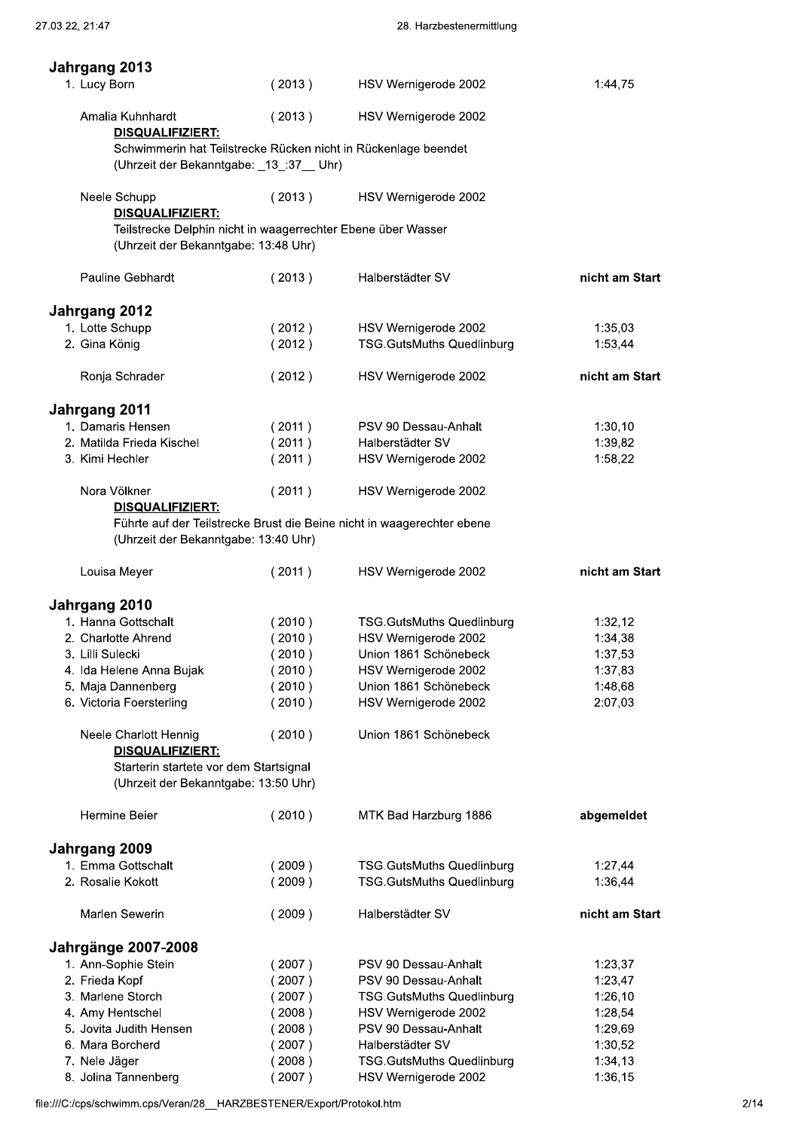| Jahrgang 2013                                                                                                            |                  |                                                                        |                    |
|--------------------------------------------------------------------------------------------------------------------------|------------------|------------------------------------------------------------------------|--------------------|
| 1. Lucy Born                                                                                                             | (2013)           | HSV Wernigerode 2002                                                   | 1:44,75            |
| Amalia Kuhnhardt                                                                                                         | (2013)           | HSV Wernigerode 2002                                                   |                    |
| DISQUALIFIZIERT:<br>(Uhrzeit der Bekanntgabe: _13_:37__ Uhr)                                                             |                  | Schwimmerin hat Teilstrecke Rücken nicht in Rückenlage beendet         |                    |
| Neele Schupp                                                                                                             | (2013)           | HSV Wernigerode 2002                                                   |                    |
| DISQUALIFIZIERT:<br>Teilstrecke Delphin nicht in waagerrechter Ebene über Wasser<br>(Uhrzeit der Bekanntgabe: 13:48 Uhr) |                  |                                                                        |                    |
| Pauline Gebhardt                                                                                                         | (2013)           | Halberstädter SV                                                       | nicht am Start     |
| Jahrgang 2012                                                                                                            |                  |                                                                        |                    |
| 1. Lotte Schupp                                                                                                          | (2012)           | HSV Wernigerode 2002                                                   | 1:35,03            |
| 2. Gina König                                                                                                            | (2012)           | <b>TSG.GutsMuths Quedlinburg</b>                                       | 1:53,44            |
| Ronja Schrader                                                                                                           | (2012)           | HSV Wernigerode 2002                                                   | nicht am Start     |
| Jahrgang 2011                                                                                                            |                  |                                                                        |                    |
| 1. Damaris Hensen                                                                                                        | (2011)           | PSV 90 Dessau-Anhalt                                                   | 1:30,10            |
| 2. Matilda Frieda Kischel<br>3. Kimi Hechler                                                                             | (2011)<br>(2011) | Halberstädter SV                                                       | 1:39,82<br>1:58,22 |
|                                                                                                                          |                  | HSV Wernigerode 2002                                                   |                    |
| Nora Völkner<br>DISQUALIFIZIERT:                                                                                         | (2011)           | HSV Wernigerode 2002                                                   |                    |
| (Uhrzeit der Bekanntgabe: 13:40 Uhr)                                                                                     |                  | Führte auf der Teilstrecke Brust die Beine nicht in waagerechter ebene |                    |
| Louisa Meyer                                                                                                             | (2011)           | HSV Wernigerode 2002                                                   | nicht am Start     |
| Jahrgang 2010                                                                                                            |                  |                                                                        |                    |
| 1. Hanna Gottschalt                                                                                                      | (2010)           | <b>TSG.GutsMuths Quedlinburg</b>                                       | 1:32,12            |
| 2. Charlotte Ahrend<br>3. Lilli Sulecki                                                                                  | (2010)<br>(2010) | HSV Wernigerode 2002<br>Union 1861 Schönebeck                          | 1:34,38            |
| 4. Ida Helene Anna Bujak                                                                                                 | (2010)           | HSV Wernigerode 2002                                                   | 1:37,53<br>1:37,83 |
| 5. Maja Dannenberg                                                                                                       | (2010)           | Union 1861 Schönebeck                                                  | 1:48,68            |
| 6. Victoria Foersterling                                                                                                 | (2010)           | HSV Wernigerode 2002                                                   | 2:07,03            |
| Neele Charlott Hennig                                                                                                    | (2010)           | Union 1861 Schönebeck                                                  |                    |
| DISQUALIFIZIERT:<br>Starterin startete vor dem Startsignal                                                               |                  |                                                                        |                    |
| (Uhrzeit der Bekanntgabe: 13:50 Uhr)                                                                                     |                  |                                                                        |                    |
| Hermine Beier                                                                                                            | (2010)           | MTK Bad Harzburg 1886                                                  | abgemeldet         |
| Jahrgang 2009                                                                                                            |                  |                                                                        |                    |
| 1. Emma Gottschalt<br>2. Rosalie Kokott                                                                                  | (2009)<br>(2009) | <b>TSG.GutsMuths Quedlinburg</b><br><b>TSG.GutsMuths Quedlinburg</b>   | 1:27,44<br>1:36,44 |
| Marlen Sewerin                                                                                                           | (2009)           | Halberstädter SV                                                       | nicht am Start     |
| <b>Jahrgänge 2007-2008</b>                                                                                               |                  |                                                                        |                    |
| 1. Ann-Sophie Stein                                                                                                      | (2007)           | PSV 90 Dessau-Anhalt                                                   | 1:23,37            |
| 2. Frieda Kopf                                                                                                           | (2007)           | PSV 90 Dessau-Anhalt                                                   | 1:23,47            |
| 3. Marlene Storch                                                                                                        | (2007)           | <b>TSG.GutsMuths Quedlinburg</b>                                       | 1:26,10            |
|                                                                                                                          | (2008)           | HSV Wernigerode 2002                                                   | 1:28,54            |
| 4. Amy Hentschel                                                                                                         | (2008)<br>(2007) | PSV 90 Dessau-Anhalt<br>Halberstädter SV                               | 1:29,69<br>1:30,52 |
| 5. Jovita Judith Hensen                                                                                                  |                  |                                                                        |                    |
| 6. Mara Borcherd<br>7. Nele Jäger                                                                                        | (2008)           | TSG.GutsMuths Quedlinburg                                              | 1:34,13            |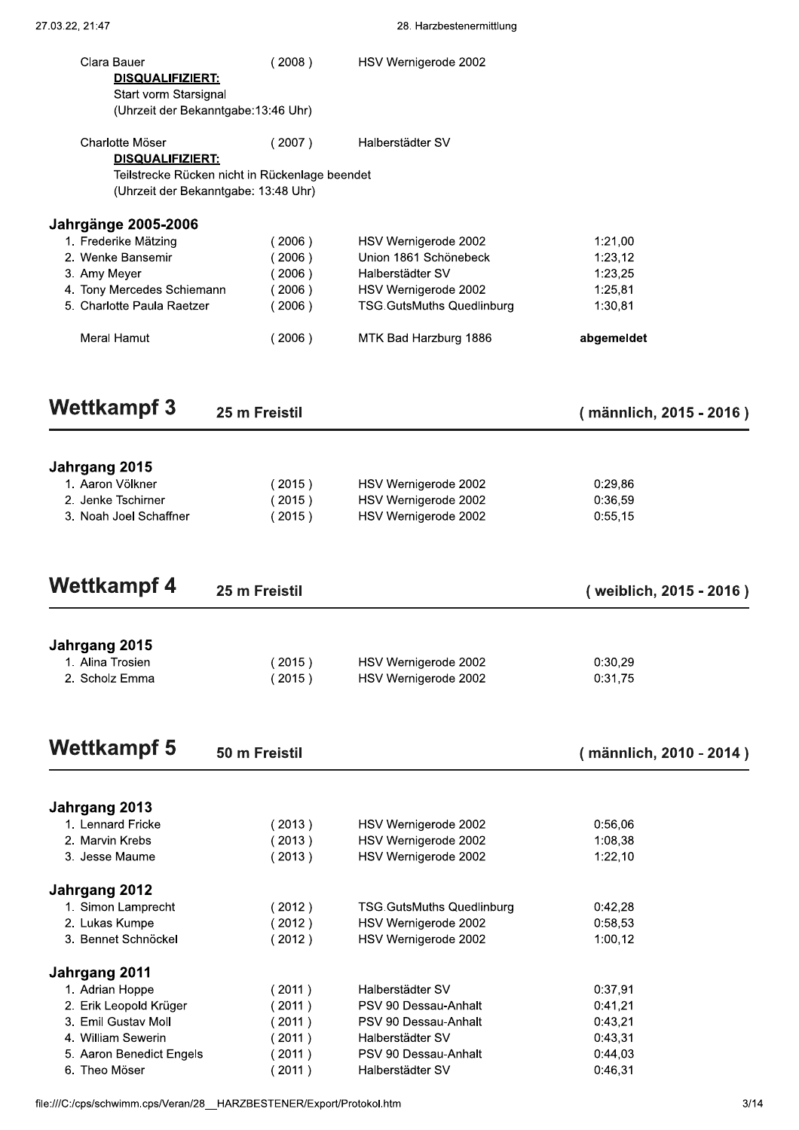| Clara Bauer                                                          | (2008)                                                                                 | HSV Wernigerode 2002                                     |                         |  |
|----------------------------------------------------------------------|----------------------------------------------------------------------------------------|----------------------------------------------------------|-------------------------|--|
| DISQUALIFIZIERT:                                                     |                                                                                        |                                                          |                         |  |
| Start vorm Starsignal                                                | (Uhrzeit der Bekanntgabe: 13:46 Uhr)                                                   |                                                          |                         |  |
| Charlotte Möser                                                      | (2007)                                                                                 | Halberstädter SV                                         |                         |  |
| DISQUALIFIZIERT:                                                     |                                                                                        |                                                          |                         |  |
|                                                                      | Teilstrecke Rücken nicht in Rückenlage beendet<br>(Uhrzeit der Bekanntgabe: 13:48 Uhr) |                                                          |                         |  |
| <b>Jahrgänge 2005-2006</b>                                           |                                                                                        |                                                          |                         |  |
| 1. Frederike Mätzing                                                 | (2006)                                                                                 | HSV Wernigerode 2002                                     | 1:21,00                 |  |
| 2. Wenke Bansemir                                                    | $2006$ )                                                                               | Union 1861 Schönebeck                                    | 1:23,12                 |  |
| 3. Amy Meyer                                                         | (2006)                                                                                 | Halberstädter SV                                         | 1:23,25                 |  |
| 4. Tony Mercedes Schiemann                                           | (2006)                                                                                 | HSV Wernigerode 2002                                     | 1:25,81                 |  |
| 5. Charlotte Paula Raetzer                                           | (2006)                                                                                 | <b>TSG.GutsMuths Quedlinburg</b>                         | 1:30,81                 |  |
| Meral Hamut                                                          | (2006)                                                                                 | MTK Bad Harzburg 1886                                    | abgemeldet              |  |
| <b>Wettkampf 3</b>                                                   | 25 m Freistil                                                                          |                                                          | (männlich, 2015 - 2016) |  |
|                                                                      |                                                                                        |                                                          |                         |  |
| Jahrgang 2015                                                        |                                                                                        |                                                          |                         |  |
| 1. Aaron Völkner                                                     | (2015)                                                                                 | HSV Wernigerode 2002                                     | 0:29,86                 |  |
| 2. Jenke Tschirner                                                   | (2015)                                                                                 | HSV Wernigerode 2002                                     | 0:36,59                 |  |
| 3. Noah Joel Schaffner                                               | (2015)                                                                                 | HSV Wernigerode 2002                                     | 0:55,15                 |  |
|                                                                      |                                                                                        |                                                          |                         |  |
| <b>Wettkampf 4</b>                                                   | 25 m Freistil                                                                          |                                                          | (weiblich, 2015 - 2016) |  |
| Jahrgang 2015                                                        |                                                                                        |                                                          |                         |  |
| 1. Alina Trosien                                                     | (2015)                                                                                 | HSV Wernigerode 2002                                     | 0:30,29                 |  |
| 2. Scholz Emma                                                       | (2015)                                                                                 | HSV Wernigerode 2002                                     | 0:31,75                 |  |
|                                                                      |                                                                                        |                                                          |                         |  |
| <b>Wettkampf 5</b>                                                   | 50 m Freistil                                                                          |                                                          | (männlich, 2010 - 2014) |  |
| Jahrgang 2013                                                        |                                                                                        |                                                          |                         |  |
| 1. Lennard Fricke                                                    | (2013)                                                                                 | HSV Wernigerode 2002                                     | 0:56,06                 |  |
| 2. Marvin Krebs                                                      | (2013)                                                                                 | HSV Wernigerode 2002                                     | 1:08,38                 |  |
| 3. Jesse Maume                                                       | (2013)                                                                                 | HSV Wernigerode 2002                                     | 1:22,10                 |  |
| Jahrgang 2012                                                        |                                                                                        |                                                          |                         |  |
| 1. Simon Lamprecht<br>2. Lukas Kumpe                                 | (2012)<br>(2012)                                                                       | <b>TSG.GutsMuths Quedlinburg</b><br>HSV Wernigerode 2002 | 0:42,28<br>0:58,53      |  |
| 3. Bennet Schnöckel                                                  | (2012)                                                                                 | HSV Wernigerode 2002                                     | 1:00,12                 |  |
| Jahrgang 2011                                                        |                                                                                        |                                                          |                         |  |
| 1. Adrian Hoppe                                                      | (2011)                                                                                 | Halberstädter SV                                         | 0:37,91                 |  |
| 2. Erik Leopold Krüger                                               | (2011)                                                                                 | PSV 90 Dessau-Anhalt                                     | 0:41,21                 |  |
| 3. Emil Gustav Moll                                                  | (2011)                                                                                 | PSV 90 Dessau-Anhalt                                     | 0:43,21                 |  |
| 4. William Sewerin<br>5. Aaron Benedict Engels                       | (2011)<br>(2011)                                                                       | Halberstädter SV<br>PSV 90 Dessau-Anhalt                 | 0:43,31<br>0:44,03      |  |
| 6. Theo Möser                                                        | (2011)                                                                                 | Halberstädter SV                                         | 0:46,31                 |  |
| file:///C:/cps/schwimm.cps/Veran/28_HARZBESTENER/Export/Protokol.htm |                                                                                        |                                                          |                         |  |
|                                                                      |                                                                                        |                                                          |                         |  |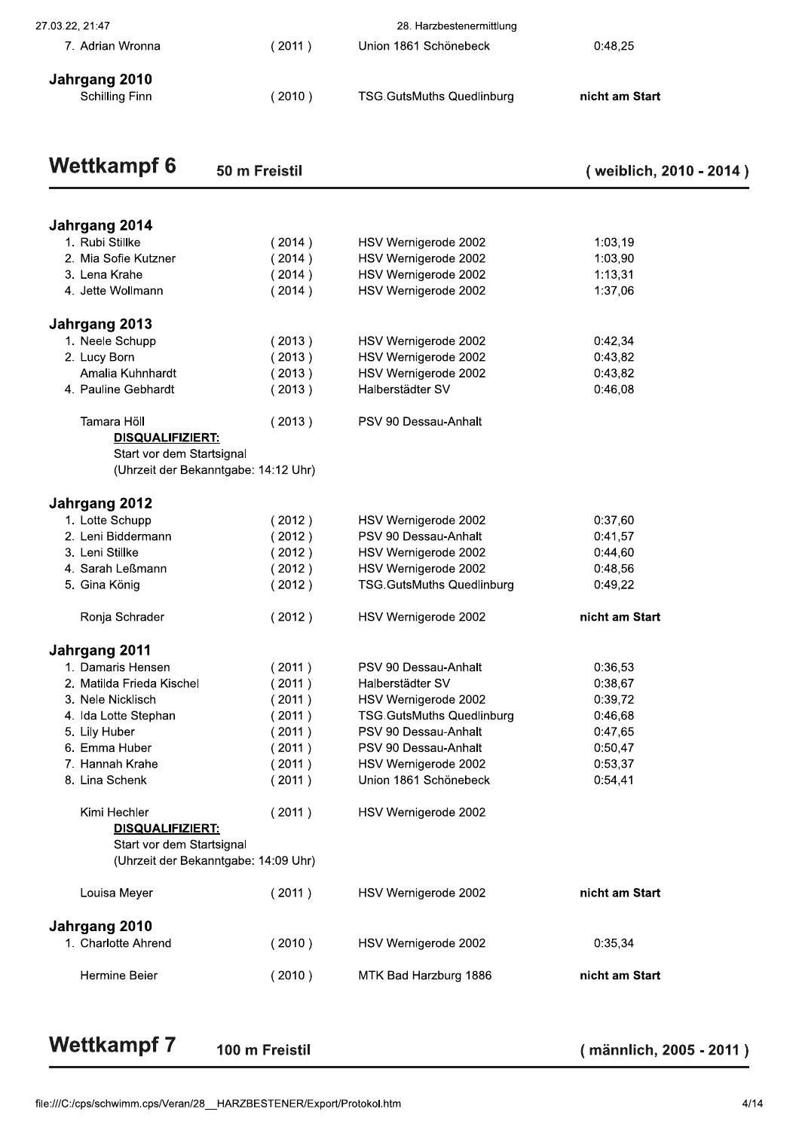| <b>Wettkampf 6</b>                  | 50 m Freistil |                                                   | (weiblich, 2010 - 2014) |
|-------------------------------------|---------------|---------------------------------------------------|-------------------------|
| Jahrgang 2010<br>Schilling Finn     | (2010)        | <b>TSG.GutsMuths Quedlinburg</b>                  | nicht am Start          |
| 27.03.22, 21:47<br>7. Adrian Wronna | (2011)        | 28. Harzbestenermittlung<br>Union 1861 Schönebeck | 0:48,25                 |
|                                     |               |                                                   |                         |

| 1:03,19<br>1:03,90<br>1:13,31<br>1:37,06<br>0:42,34<br>0:43,82<br>0:43,82<br>0:46,08<br>0:37,60<br>0:41,57<br>0:44,60 | HSV Wernigerode 2002<br>HSV Wernigerode 2002<br>HSV Wernigerode 2002<br>HSV Wernigerode 2002<br>HSV Wernigerode 2002<br>HSV Wernigerode 2002<br>HSV Wernigerode 2002<br>Halberstädter SV<br>PSV 90 Dessau-Anhalt | (2014)<br>(2014)<br>(2014)<br>(2014)<br>(2013)<br>(2013)<br>(2013)<br>(2013)<br>(2013) | Jahrgang 2014<br>1. Rubi Stillke<br>2. Mia Sofie Kutzner<br>3. Lena Krahe<br>4. Jette Wollmann<br>1. Neele Schupp<br>2. Lucy Born<br>Amalia Kuhnhardt<br>4. Pauline Gebhardt |
|-----------------------------------------------------------------------------------------------------------------------|------------------------------------------------------------------------------------------------------------------------------------------------------------------------------------------------------------------|----------------------------------------------------------------------------------------|------------------------------------------------------------------------------------------------------------------------------------------------------------------------------|
|                                                                                                                       |                                                                                                                                                                                                                  |                                                                                        | Jahrgang 2013                                                                                                                                                                |
|                                                                                                                       |                                                                                                                                                                                                                  |                                                                                        |                                                                                                                                                                              |
|                                                                                                                       |                                                                                                                                                                                                                  |                                                                                        |                                                                                                                                                                              |
|                                                                                                                       |                                                                                                                                                                                                                  |                                                                                        |                                                                                                                                                                              |
|                                                                                                                       |                                                                                                                                                                                                                  |                                                                                        |                                                                                                                                                                              |
|                                                                                                                       |                                                                                                                                                                                                                  |                                                                                        |                                                                                                                                                                              |
|                                                                                                                       |                                                                                                                                                                                                                  |                                                                                        |                                                                                                                                                                              |
|                                                                                                                       |                                                                                                                                                                                                                  |                                                                                        |                                                                                                                                                                              |
|                                                                                                                       |                                                                                                                                                                                                                  |                                                                                        |                                                                                                                                                                              |
|                                                                                                                       |                                                                                                                                                                                                                  |                                                                                        |                                                                                                                                                                              |
|                                                                                                                       |                                                                                                                                                                                                                  |                                                                                        | Tamara Höll                                                                                                                                                                  |
|                                                                                                                       |                                                                                                                                                                                                                  |                                                                                        | DISQUALIFIZIERT:                                                                                                                                                             |
|                                                                                                                       |                                                                                                                                                                                                                  |                                                                                        | Start vor dem Startsignal                                                                                                                                                    |
|                                                                                                                       |                                                                                                                                                                                                                  |                                                                                        | (Uhrzeit der Bekanntgabe: 14:12 Uhr)                                                                                                                                         |
|                                                                                                                       |                                                                                                                                                                                                                  |                                                                                        | Jahrgang 2012                                                                                                                                                                |
|                                                                                                                       | HSV Wernigerode 2002                                                                                                                                                                                             | (2012)                                                                                 | 1. Lotte Schupp                                                                                                                                                              |
|                                                                                                                       | PSV 90 Dessau-Anhalt                                                                                                                                                                                             | (2012)                                                                                 | 2. Leni Biddermann                                                                                                                                                           |
|                                                                                                                       | HSV Wernigerode 2002                                                                                                                                                                                             | (2012)                                                                                 | 3. Leni Stillke                                                                                                                                                              |
| 0:48,56                                                                                                               | HSV Wernigerode 2002                                                                                                                                                                                             | (2012)                                                                                 | 4. Sarah Leßmann                                                                                                                                                             |
| 0:49,22                                                                                                               | <b>TSG.GutsMuths Quedlinburg</b>                                                                                                                                                                                 | (2012)                                                                                 | 5. Gina König                                                                                                                                                                |
| nicht am Start                                                                                                        | HSV Wernigerode 2002                                                                                                                                                                                             | (2012)                                                                                 | Ronja Schrader                                                                                                                                                               |
|                                                                                                                       |                                                                                                                                                                                                                  |                                                                                        | Jahrgang 2011                                                                                                                                                                |
| 0:36,53                                                                                                               | PSV 90 Dessau-Anhalt                                                                                                                                                                                             | (2011)                                                                                 | 1. Damaris Hensen                                                                                                                                                            |
| 0:38,67                                                                                                               | Halberstädter SV                                                                                                                                                                                                 | (2011)                                                                                 | 2. Matilda Frieda Kischel                                                                                                                                                    |
| 0:39,72                                                                                                               | HSV Wernigerode 2002                                                                                                                                                                                             | (2011)                                                                                 | 3. Nele Nicklisch                                                                                                                                                            |
| 0:46,68                                                                                                               | <b>TSG.GutsMuths Quedlinburg</b>                                                                                                                                                                                 | (2011)                                                                                 | 4. Ida Lotte Stephan                                                                                                                                                         |
| 0:47,65                                                                                                               | PSV 90 Dessau-Anhalt                                                                                                                                                                                             | (2011)                                                                                 | 5. Lily Huber                                                                                                                                                                |
| 0:50,47                                                                                                               | PSV 90 Dessau-Anhalt                                                                                                                                                                                             | (2011)                                                                                 | 6. Emma Huber                                                                                                                                                                |
| 0:53,37                                                                                                               | HSV Wernigerode 2002                                                                                                                                                                                             | (2011)                                                                                 | 7. Hannah Krahe                                                                                                                                                              |
| 0:54,41                                                                                                               | Union 1861 Schönebeck                                                                                                                                                                                            | (2011)                                                                                 | 8. Lina Schenk                                                                                                                                                               |
|                                                                                                                       | HSV Wernigerode 2002                                                                                                                                                                                             | (2011)                                                                                 | Kimi Hechler<br>DISQUALIFIZIERT:                                                                                                                                             |
|                                                                                                                       |                                                                                                                                                                                                                  |                                                                                        | Start vor dem Startsignal<br>(Uhrzeit der Bekanntgabe: 14:09 Uhr)                                                                                                            |
| nicht am Start                                                                                                        |                                                                                                                                                                                                                  |                                                                                        |                                                                                                                                                                              |
|                                                                                                                       |                                                                                                                                                                                                                  |                                                                                        |                                                                                                                                                                              |
|                                                                                                                       |                                                                                                                                                                                                                  |                                                                                        | Jahrgang 2010                                                                                                                                                                |
| 0:35,34                                                                                                               | HSV Wernigerode 2002                                                                                                                                                                                             | (2010)                                                                                 | 1. Charlotte Ahrend                                                                                                                                                          |
| nicht am Start                                                                                                        | MTK Bad Harzburg 1886                                                                                                                                                                                            | (2010)                                                                                 | Hermine Beier                                                                                                                                                                |
|                                                                                                                       | HSV Wernigerode 2002                                                                                                                                                                                             | (2011)                                                                                 | Louisa Meyer                                                                                                                                                                 |

# **f 7** 100 m Freistil<br>s/Veran/28\_HARZBESTENER/Export/Protokol.ht Wettkampf 7 100 m Freistil (männlich, 2005 - 2011)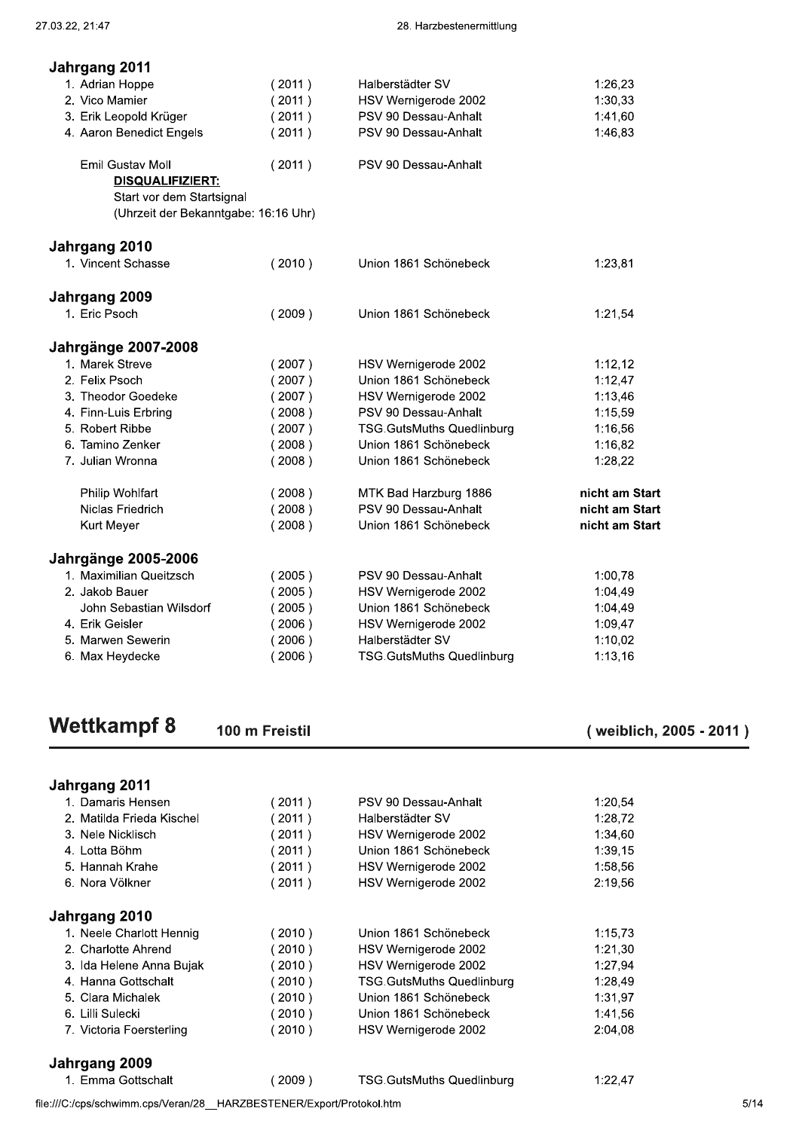| Jahrgang 2011                               |        |                                  |                |
|---------------------------------------------|--------|----------------------------------|----------------|
| 1. Adrian Hoppe                             | (2011) | Halberstädter SV                 | 1:26,23        |
| 2. Vico Mamier                              | (2011) | HSV Wernigerode 2002             | 1:30,33        |
| 3. Erik Leopold Krüger                      | (2011) | PSV 90 Dessau-Anhalt             | 1:41,60        |
| 4. Aaron Benedict Engels                    | (2011) | PSV 90 Dessau-Anhalt             | 1:46,83        |
| Emil Gustav Moll<br><b>DISQUALIFIZIERT:</b> | (2011) | PSV 90 Dessau-Anhalt             |                |
| Start vor dem Startsignal                   |        |                                  |                |
| (Uhrzeit der Bekanntgabe: 16:16 Uhr)        |        |                                  |                |
| Jahrgang 2010                               |        |                                  |                |
| 1. Vincent Schasse                          | (2010) | Union 1861 Schönebeck            | 1:23,81        |
| Jahrgang 2009                               |        |                                  |                |
| 1. Eric Psoch                               | (2009) | Union 1861 Schönebeck            | 1:21,54        |
| <b>Jahrgänge 2007-2008</b>                  |        |                                  |                |
| 1. Marek Streve                             | (2007) | HSV Wernigerode 2002             | 1:12,12        |
| 2. Felix Psoch                              | (2007) | Union 1861 Schönebeck            | 1:12,47        |
| 3. Theodor Goedeke                          | (2007) | HSV Wernigerode 2002             | 1:13,46        |
| 4. Finn-Luis Erbring                        | (2008) | PSV 90 Dessau-Anhalt             | 1:15,59        |
| 5. Robert Ribbe                             | (2007) | <b>TSG.GutsMuths Quedlinburg</b> | 1:16,56        |
| 6. Tamino Zenker                            | (2008) | Union 1861 Schönebeck            | 1:16,82        |
| 7. Julian Wronna                            | (2008) | Union 1861 Schönebeck            | 1:28,22        |
| Philip Wohlfart                             | (2008) | MTK Bad Harzburg 1886            | nicht am Start |
| Niclas Friedrich                            | (2008) | PSV 90 Dessau-Anhalt             | nicht am Start |
| Kurt Meyer                                  | (2008) | Union 1861 Schönebeck            | nicht am Start |
| <b>Jahrgänge 2005-2006</b>                  |        |                                  |                |
| 1. Maximilian Queitzsch                     | (2005) | PSV 90 Dessau-Anhalt             | 1:00,78        |
| 2. Jakob Bauer                              | (2005) | HSV Wernigerode 2002             | 1:04,49        |
| John Sebastian Wilsdorf                     | (2005) | Union 1861 Schönebeck            | 1:04,49        |
| 4. Erik Geisler                             | (2006) | HSV Wernigerode 2002             | 1:09,47        |
| 5. Marwen Sewerin                           | (2006) | Halberstädter SV                 | 1:10,02        |
| 6. Max Heydecke                             | (2006) | TSG.GutsMuths Quedlinburg        | 1:13,16        |

# **Wettkampf 8**

(weiblich, 2005 - 2011)

| Jahrgang 2011             |          |                                  |         |
|---------------------------|----------|----------------------------------|---------|
| 1. Damaris Hensen         | 2011)    | PSV 90 Dessau-Anhalt             | 1:20.54 |
| 2. Matilda Frieda Kischel | 2011)    | Halberstädter SV                 | 1:28.72 |
| 3. Nele Nicklisch         | 2011)    | HSV Wernigerode 2002             | 1:34,60 |
| 4. Lotta Böhm             | 2011)    | Union 1861 Schönebeck            | 1:39,15 |
| 5. Hannah Krahe           | 2011)    | HSV Wernigerode 2002             | 1:58,56 |
| 6. Nora Völkner           | (2011)   | HSV Wernigerode 2002             | 2:19,56 |
| Jahrgang 2010             |          |                                  |         |
| 1. Neele Charlott Hennig  | (2010)   | Union 1861 Schönebeck            | 1:15,73 |
| 2. Charlotte Ahrend       | $2010$ ) | HSV Wernigerode 2002             | 1:21,30 |
| 3. Ida Helene Anna Bujak  | $2010$ ) | HSV Wernigerode 2002             | 1:27,94 |
| 4. Hanna Gottschalt       | $2010$ ) | <b>TSG.GutsMuths Quedlinburg</b> | 1:28,49 |
| 5. Clara Michalek         | 2010)    | Union 1861 Schönebeck            | 1:31,97 |
| 6. Lilli Sulecki          | 2010)    | Union 1861 Schönebeck            | 1:41,56 |
| 7. Victoria Foersterling  | 2010)    | HSV Wernigerode 2002             | 2:04.08 |
| Jahrgang 2009             |          |                                  |         |
| 1. Emma Gottschalt        | 2009)    | <b>TSG.GutsMuths Quedlinburg</b> | 1:22,47 |

file:///C:/cps/schwimm.cps/Veran/28\_\_HARZBESTENER/Export/Protokol.htm

100 m Freistil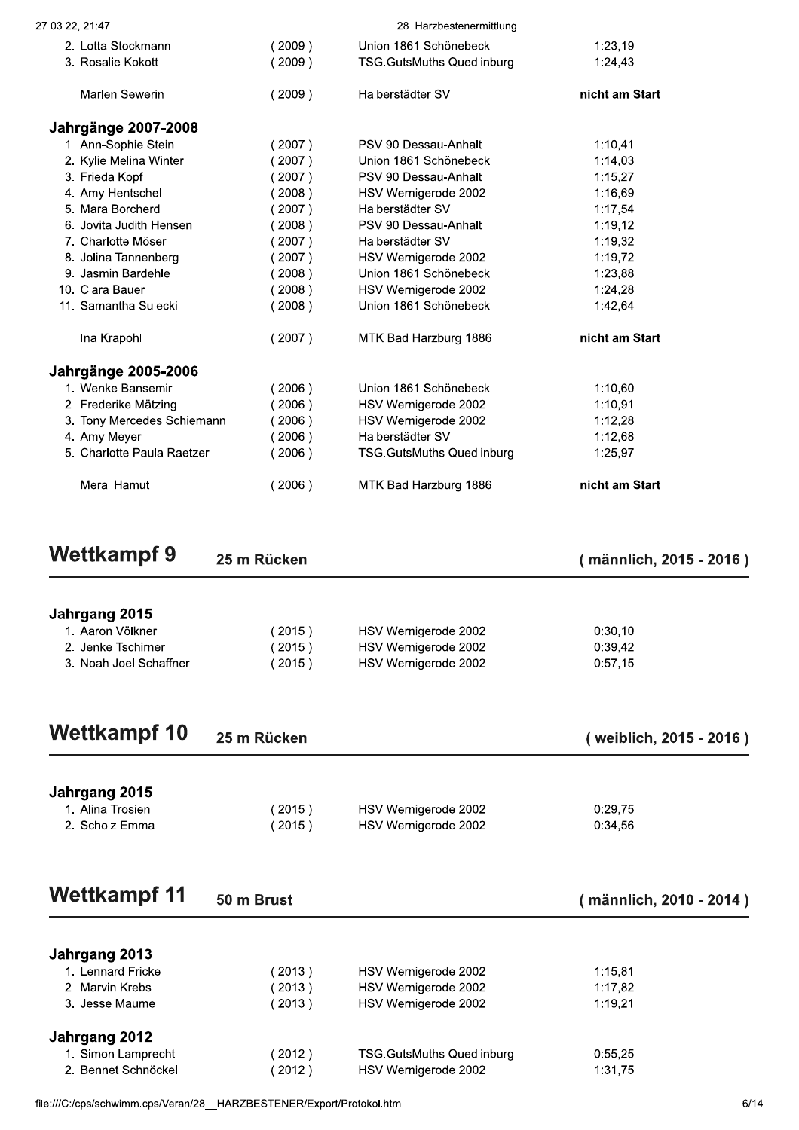| Jahrgang 2015<br>1. Alina Trosien<br>2. Scholz Emma     | (2015)<br>(2015) | HSV Wernigerode 2002<br>HSV Wernigerode 2002              | 0:29,75<br>0:34,56      |
|---------------------------------------------------------|------------------|-----------------------------------------------------------|-------------------------|
| <b>Wettkampf 10</b>                                     | 25 m Rücken      |                                                           | (weiblich, 2015 - 2016) |
|                                                         |                  |                                                           |                         |
| 3. Noah Joel Schaffner                                  | (2015)           | HSV Wernigerode 2002                                      | 0:57,15                 |
| Jahrgang 2015<br>1. Aaron Völkner<br>2. Jenke Tschirner | (2015)<br>(2015) | HSV Wernigerode 2002<br>HSV Wernigerode 2002              | 0:30,10<br>0:39,42      |
| <b>Wettkampf 9</b>                                      | 25 m Rücken      |                                                           | (männlich, 2015 - 2016) |
| Meral Hamut                                             | (2006)           | MTK Bad Harzburg 1886                                     | nicht am Start          |
| 4. Amy Meyer<br>5. Charlotte Paula Raetzer              | 2006)<br>(2006)  | Halberstädter SV<br><b>TSG.GutsMuths Quedlinburg</b>      | 1:12,68<br>1:25,97      |
| 3. Tony Mercedes Schiemann                              | 2006)            | HSV Wernigerode 2002                                      | 1:12,28                 |
| 2. Frederike Mätzing                                    | 2006)            | HSV Wernigerode 2002                                      | 1:10,91                 |
| <b>Jahrgänge 2005-2006</b><br>1. Wenke Bansemir         | (2006)           | Union 1861 Schönebeck                                     | 1:10,60                 |
| Ina Krapohl                                             | (2007)           | MTK Bad Harzburg 1886                                     | nicht am Start          |
|                                                         |                  |                                                           |                         |
| 11. Samantha Sulecki                                    | (2008)           | Union 1861 Schönebeck                                     | 1:42,64                 |
| 9. Jasmin Bardehle<br>10. Clara Bauer                   | (2008)<br>(2008) | Union 1861 Schönebeck<br>HSV Wernigerode 2002             | 1:23,88<br>1:24,28      |
| 8. Jolina Tannenberg                                    | (2007)           | HSV Wernigerode 2002                                      | 1:19,72                 |
| 7. Charlotte Möser                                      | (2007)           | Halberstädter SV                                          | 1:19,32                 |
| 6. Jovita Judith Hensen                                 | (2008)           | PSV 90 Dessau-Anhalt                                      | 1:19,12                 |
| 5. Mara Borcherd                                        | (2007)           | Halberstädter SV                                          | 1:17,54                 |
| 3. Frieda Kopf<br>4. Amy Hentschel                      | (2007)<br>(2008) | PSV 90 Dessau-Anhalt<br>HSV Wernigerode 2002              | 1:15,27<br>1:16,69      |
| 2. Kylie Melina Winter                                  | 2007)            | Union 1861 Schönebeck                                     | 1:14,03                 |
| 1. Ann-Sophie Stein                                     | (2007)           | PSV 90 Dessau-Anhalt                                      | 1:10,41                 |
| <b>Jahrgänge 2007-2008</b>                              |                  |                                                           |                         |
| Marlen Sewerin                                          | (2009)           | Halberstädter SV                                          | nicht am Start          |
| 2. Lotta Stockmann<br>3. Rosalie Kokott                 | (2009)<br>(2009) | Union 1861 Schönebeck<br><b>TSG.GutsMuths Quedlinburg</b> | 1:23,19<br>1:24,43      |
| 27.03.22, 21:47                                         |                  | 28. Harzbestenermittlung                                  |                         |
|                                                         |                  |                                                           |                         |

|                     |        |                                  | (männlich, 2010 - 20 |
|---------------------|--------|----------------------------------|----------------------|
| Jahrgang 2013       |        |                                  |                      |
| 1. Lennard Fricke   | 2013)  | HSV Wernigerode 2002             | 1:15,81              |
| 2. Marvin Krebs     | (2013) | HSV Wernigerode 2002             | 1:17,82              |
| 3. Jesse Maume      | (2013) | HSV Wernigerode 2002             | 1:19,21              |
| Jahrgang 2012       |        |                                  |                      |
| 1. Simon Lamprecht  | (2012) | <b>TSG.GutsMuths Quedlinburg</b> | 0:55,25              |
| 2. Bennet Schnöckel | (2012) | HSV Wernigerode 2002             | 1:31,75              |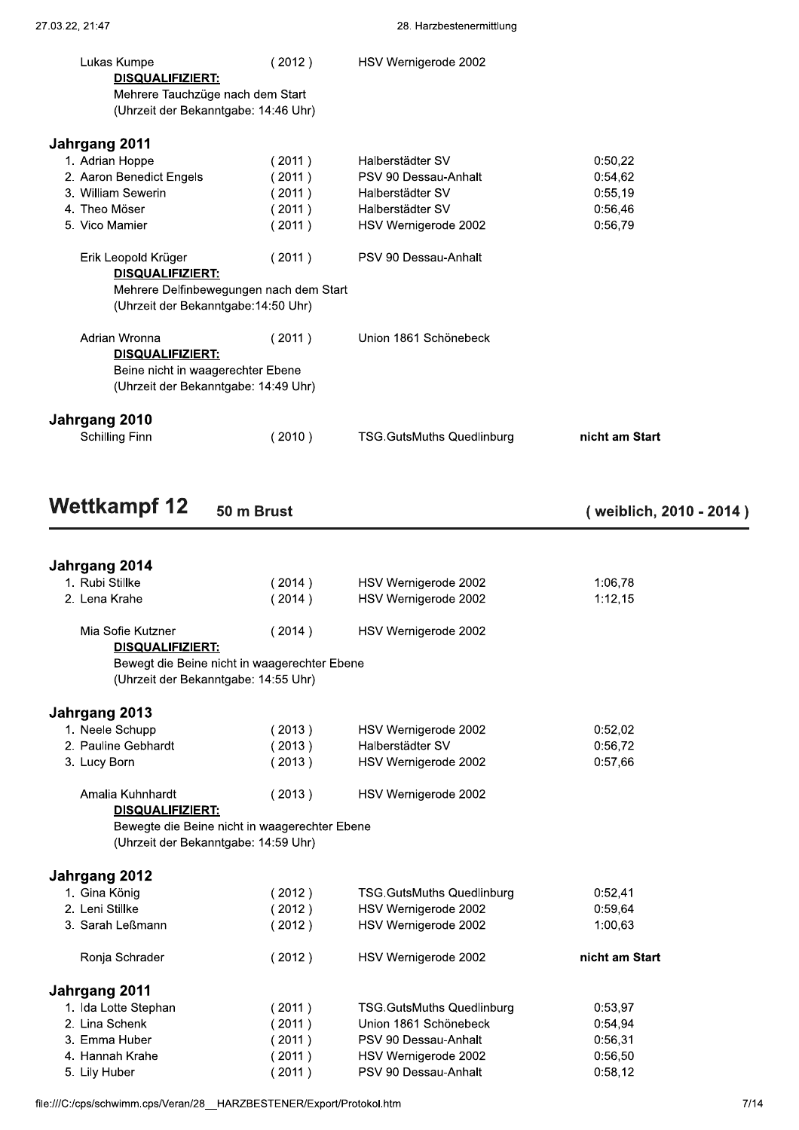| 3. William Sewerin                                                            | (2011)                                         | Halberstädter SV      | 0:55,19 |  |
|-------------------------------------------------------------------------------|------------------------------------------------|-----------------------|---------|--|
| 4. Theo Möser                                                                 | (2011)                                         | Halberstädter SV      | 0:56,46 |  |
| 5. Vico Mamier                                                                | (2011)                                         | HSV Wernigerode 2002  | 0:56,79 |  |
| Erik Leopold Krüger<br><b>DISQUALIFIZIERT:</b>                                | (2011)                                         | PSV 90 Dessau-Anhalt  |         |  |
| (Uhrzeit der Bekanntgabe: 14:50 Uhr)                                          | Mehrere Delfinbewegungen nach dem Start        |                       |         |  |
| Adrian Wronna<br><b>DISQUALIFIZIERT:</b><br>Beine nicht in waagerechter Ebene | (2011)<br>(Uhrzeit der Bekanntgabe: 14:49 Uhr) | Union 1861 Schönebeck |         |  |
| Jahrgang 2010                                                                 |                                                |                       |         |  |

| Jahrgang 2014                                |         |                      |
|----------------------------------------------|---------|----------------------|
| 1. Rubi Stillke                              | (2014)  | HSV Wernigerode 2002 |
| 2. Lena Krahe                                | (2014)  | HSV Wernigerode 2002 |
| Mia Sofie Kutzner                            | (2014)  | HSV Wernigerode 2002 |
| <b>DISQUALIFIZIERT:</b>                      |         |                      |
| Bewegt die Beine nicht in waagerechter Ebene |         |                      |
| (Uhrzeit der Bekanntgabe: 14:55 Uhr)         |         |                      |
| Jahrgang 2013                                |         |                      |
| 1. Neele Schupp                              | (2013)  | HSV Wernigerode 2002 |
| 2. Douling Cobbardt                          | 7 2012) | Holboretädtor SV     |

| 2. Pauline Gebhardt                  | (2013)                                        | Halberstädter SV                 | 0:56,72        |
|--------------------------------------|-----------------------------------------------|----------------------------------|----------------|
| 3. Lucy Born                         | (2013)                                        | HSV Wernigerode 2002             | 0:57,66        |
| Amalia Kuhnhardt                     | (2013)                                        | HSV Wernigerode 2002             |                |
| <b>DISQUALIFIZIERT:</b>              |                                               |                                  |                |
|                                      | Bewegte die Beine nicht in waagerechter Ebene |                                  |                |
| (Uhrzeit der Bekanntgabe: 14:59 Uhr) |                                               |                                  |                |
|                                      |                                               |                                  |                |
| Jahrgang 2012                        |                                               |                                  |                |
| 1. Gina König                        | (2012)                                        | <b>TSG.GutsMuths Quedlinburg</b> | 0:52,41        |
| 2. Leni Stillke                      | (2012)                                        | HSV Wernigerode 2002             | 0:59,64        |
| 3. Sarah Leßmann                     | (2012)                                        | HSV Wernigerode 2002             | 1:00,63        |
| Ronja Schrader                       | (2012)                                        | HSV Wernigerode 2002             | nicht am Start |
| Jahrgang 2011                        |                                               |                                  |                |
| 1. Ida Lotte Stephan                 | (2011)                                        | <b>TSG.GutsMuths Quedlinburg</b> | 0:53,97        |
| 2. Lina Schenk                       | (2011)                                        | Union 1861 Schönebeck            | 0:54,94        |
| 3. Emma Huber                        | (2011)                                        | PSV 90 Dessau-Anhalt             | 0:56,31        |
| 4. Hannah Krahe                      | (2011)                                        | HSV Wernigerode 2002             | 0:56.50        |
| 5. Lily Huber                        | 2011)                                         | PSV 90 Dessau-Anhalt             | 0:58,12        |

file:///C:/cps/schwimm.cps/Veran/28\_\_HARZBESTENER/Export/Protokol.htm

(weiblich, 2010 - 2014)

1:06,78  $1:12,15$ 

 $0:52,02$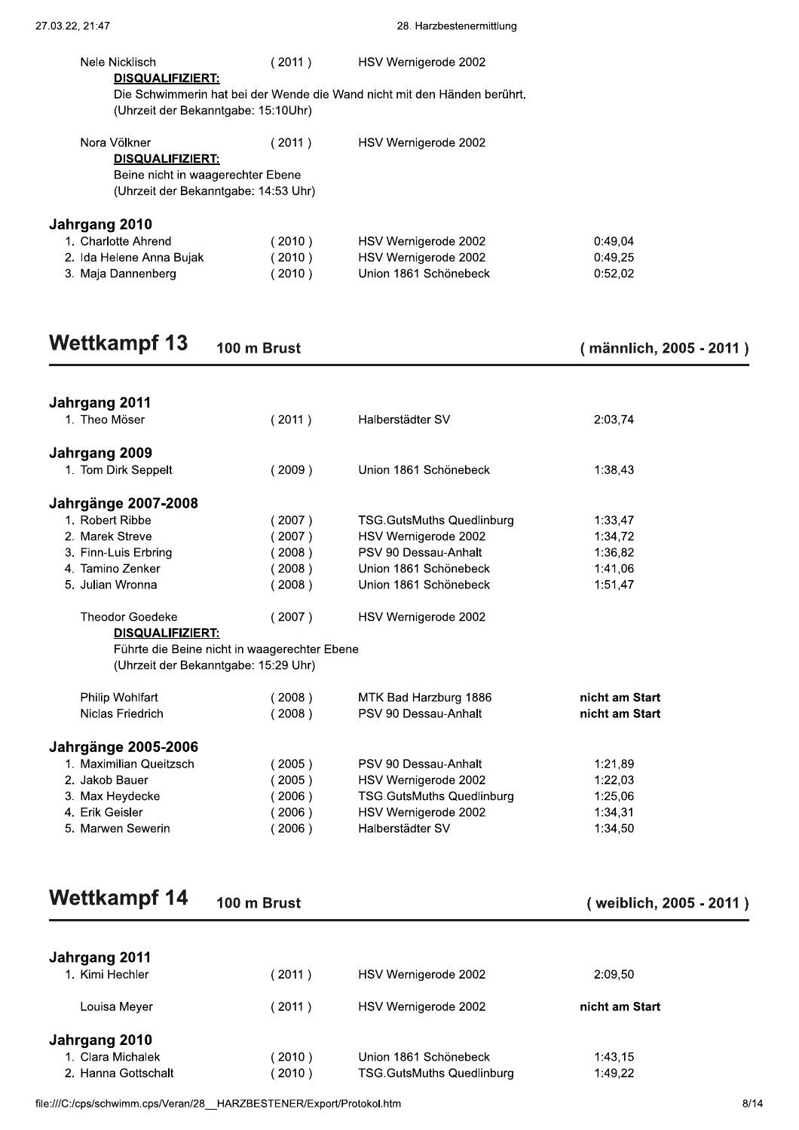| <b>Wettkampf 13</b>                                                                                                  | 100 m Brust |                                                                          | ( männlich, 2005 - 20 |
|----------------------------------------------------------------------------------------------------------------------|-------------|--------------------------------------------------------------------------|-----------------------|
| 3. Maja Dannenberg                                                                                                   | (2010)      | Union 1861 Schönebeck                                                    | 0:52,02               |
| 2. Ida Helene Anna Bujak                                                                                             | (2010)      | HSV Wernigerode 2002                                                     | 0:49,25               |
| Jahrgang 2010<br>1. Charlotte Ahrend                                                                                 | (2010)      | HSV Wernigerode 2002                                                     | 0:49,04               |
| Nora Völkner<br><b>DISQUALIFIZIERT:</b><br>Beine nicht in waagerechter Ebene<br>(Uhrzeit der Bekanntgabe: 14:53 Uhr) | (2011)      | HSV Wernigerode 2002                                                     |                       |
| (Uhrzeit der Bekanntgabe: 15:10Uhr)                                                                                  |             |                                                                          |                       |
| <b>DISQUALIFIZIERT:</b>                                                                                              |             | Die Schwimmerin hat bei der Wende die Wand nicht mit den Händen berührt. |                       |
| Nele Nicklisch                                                                                                       | (2011)      | HSV Wernigerode 2002                                                     |                       |
| 27.03.22, 21:47                                                                                                      |             | 28. Harzbestenermittlung                                                 |                       |

# Wettkampf 13 100 m Brust (männlich, 2005 - 2011)

| <b>Wettkampf 13</b>                          | 100 m Brust |                                  | (männlich, 2005 - 20 |
|----------------------------------------------|-------------|----------------------------------|----------------------|
| Jahrgang 2011                                |             |                                  |                      |
| 1. Theo Möser                                | (2011)      | Halberstädter SV                 | 2:03,74              |
| Jahrgang 2009                                |             |                                  |                      |
| 1. Tom Dirk Seppelt                          | (2009)      | Union 1861 Schönebeck            | 1:38,43              |
| <b>Jahrgänge 2007-2008</b>                   |             |                                  |                      |
| 1. Robert Ribbe                              | (2007)      | <b>TSG.GutsMuths Quedlinburg</b> | 1:33,47              |
| 2. Marek Streve                              | (2007)      | HSV Wernigerode 2002             | 1:34,72              |
| 3. Finn-Luis Erbring                         | (2008)      | PSV 90 Dessau-Anhalt             | 1:36,82              |
| 4. Tamino Zenker                             | (2008)      | Union 1861 Schönebeck            | 1:41,06              |
| 5. Julian Wronna                             | (2008)      | Union 1861 Schönebeck            | 1:51,47              |
| <b>Theodor Goedeke</b>                       | (2007)      | HSV Wernigerode 2002             |                      |
| <b>DISQUALIFIZIERT:</b>                      |             |                                  |                      |
| Führte die Beine nicht in waagerechter Ebene |             |                                  |                      |
| (Uhrzeit der Bekanntgabe: 15:29 Uhr)         |             |                                  |                      |
| Philip Wohlfart                              | (2008)      | MTK Bad Harzburg 1886            | nicht am Start       |
| Niclas Friedrich                             | (2008)      | PSV 90 Dessau-Anhalt             | nicht am Start       |
| <b>Jahrgänge 2005-2006</b>                   |             |                                  |                      |
| 1. Maximilian Queitzsch                      | (2005)      | PSV 90 Dessau-Anhalt             | 1:21,89              |
| 2. Jakob Bauer                               | (2005)      | HSV Wernigerode 2002             | 1:22,03              |
| 3. Max Heydecke                              | (2006)      | <b>TSG.GutsMuths Quedlinburg</b> | 1:25,06              |
| 4. Erik Geisler                              | (2006)      | HSV Wernigerode 2002             | 1:34,31              |
| 5. Marwen Sewerin                            | (2006)      | Halberstädter SV                 | 1:34,50              |
|                                              |             |                                  |                      |
| <b>Wettkampf 14</b>                          | 100 m Brust |                                  | (weiblich, 2005 - 20 |

| <b>Wettkampf 14</b> | 100 <sub>m</sub> |
|---------------------|------------------|
|---------------------|------------------|

External of the USA of the USA of the USA of the USA of the USA of the USA of the USA of the USA of the USA of the USA of the USA of the USA of the USA of the USA of the USA of the USA of the USA of the USA of the USA of t

| <b>Wettkampf 14</b>                                               | 100 m Brust |                                  | (weiblich, 2005 - 20 |
|-------------------------------------------------------------------|-------------|----------------------------------|----------------------|
| Jahrgang 2011                                                     |             |                                  |                      |
| 1. Kimi Hechler                                                   | (2011)      | HSV Wernigerode 2002             | 2:09,50              |
| Louisa Meyer                                                      | (2011)      | HSV Wernigerode 2002             | nicht am Start       |
| Jahrgang 2010                                                     |             |                                  |                      |
| 1. Clara Michalek                                                 | (2010)      | Union 1861 Schönebeck            | 1:43,15              |
| 2. Hanna Gottschalt                                               | (2010)      | <b>TSG.GutsMuths Quedlinburg</b> | 1:49,22              |
| e:///C:/cps/schwimm.cps/Veran/28 HARZBESTENER/Export/Protokol.htm |             |                                  |                      |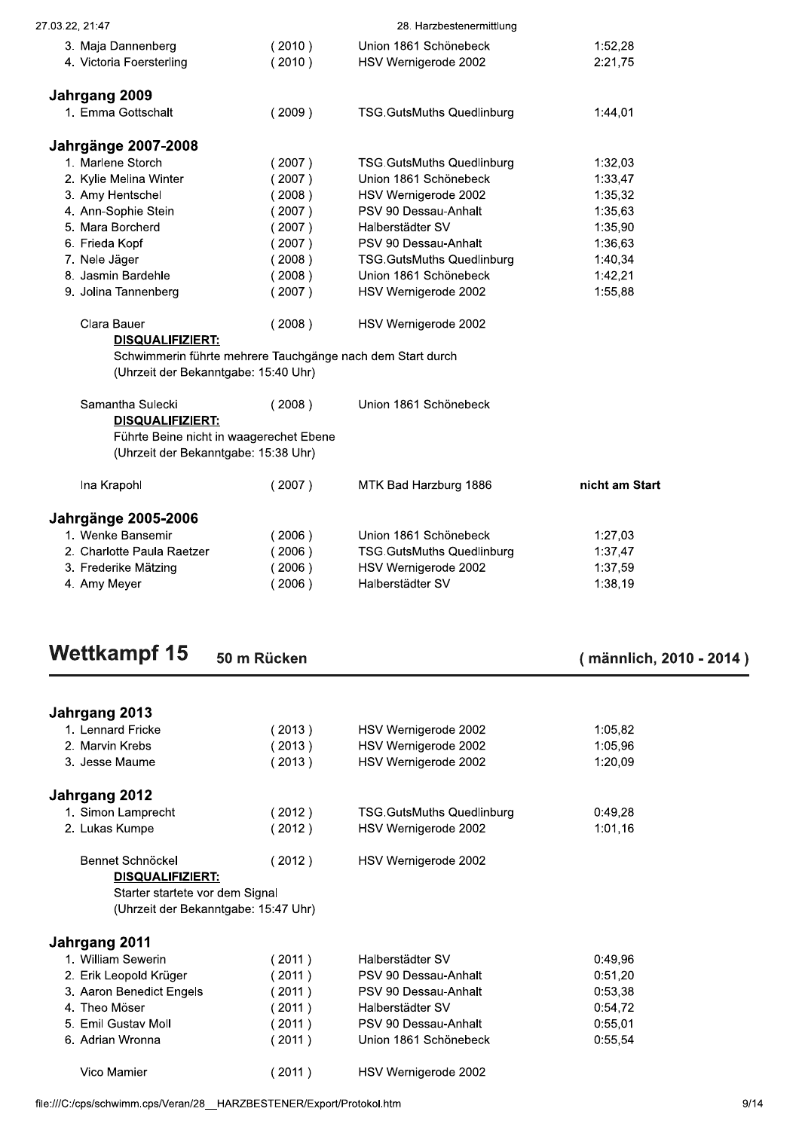| 27.03.22, 21:47                                                                 |        | 28. Harzbestenermittlung                                   |                |
|---------------------------------------------------------------------------------|--------|------------------------------------------------------------|----------------|
| 3. Maja Dannenberg                                                              | (2010) | Union 1861 Schönebeck                                      | 1:52,28        |
| 4. Victoria Foersterling                                                        | (2010) | HSV Wernigerode 2002                                       | 2:21,75        |
| Jahrgang 2009                                                                   |        |                                                            |                |
| 1. Emma Gottschalt                                                              | (2009) | <b>TSG.GutsMuths Quedlinburg</b>                           | 1:44,01        |
| <b>Jahrgänge 2007-2008</b>                                                      |        |                                                            |                |
| 1. Marlene Storch                                                               | (2007) | <b>TSG.GutsMuths Quedlinburg</b>                           | 1:32,03        |
| 2. Kylie Melina Winter                                                          | (2007) | Union 1861 Schönebeck                                      | 1:33,47        |
| 3. Amy Hentschel                                                                | (2008) | HSV Wernigerode 2002                                       | 1:35,32        |
| 4. Ann-Sophie Stein                                                             | (2007) | PSV 90 Dessau-Anhalt                                       | 1:35,63        |
| 5. Mara Borcherd                                                                | (2007) | Halberstädter SV                                           | 1:35,90        |
| 6. Frieda Kopf                                                                  | (2007) | PSV 90 Dessau-Anhalt                                       | 1:36,63        |
| 7. Nele Jäger                                                                   | (2008) | <b>TSG.GutsMuths Quedlinburg</b>                           | 1:40,34        |
| 8. Jasmin Bardehle                                                              | (2008) | Union 1861 Schönebeck                                      | 1:42,21        |
| 9. Jolina Tannenberg                                                            | (2007) | HSV Wernigerode 2002                                       | 1:55,88        |
| Clara Bauer<br><b>DISQUALIFIZIERT:</b>                                          | (2008) | HSV Wernigerode 2002                                       |                |
|                                                                                 |        | Schwimmerin führte mehrere Tauchgänge nach dem Start durch |                |
| (Uhrzeit der Bekanntgabe: 15:40 Uhr)                                            |        |                                                            |                |
| Samantha Sulecki<br>DISQUALIFIZIERT:                                            | (2008) | Union 1861 Schönebeck                                      |                |
| Führte Beine nicht in waagerechet Ebene<br>(Uhrzeit der Bekanntgabe: 15:38 Uhr) |        |                                                            |                |
| Ina Krapohl                                                                     | (2007) | MTK Bad Harzburg 1886                                      | nicht am Start |
| <b>Jahrgänge 2005-2006</b>                                                      |        |                                                            |                |
| 1. Wenke Bansemir                                                               | (2006) | Union 1861 Schönebeck                                      | 1:27,03        |
| 2. Charlotte Paula Raetzer                                                      | (2006) | <b>TSG.GutsMuths Quedlinburg</b>                           | 1:37,47        |
| 3. Frederike Mätzing                                                            | (2006) | HSV Wernigerode 2002                                       | 1:37,59        |
| 4. Amy Meyer                                                                    | (2006) | Halberstädter SV                                           | 1:38,19        |

| <b>Wettkampf 15</b>                  | 50 m Rücken       |                                  | (männlich, 2010 - 2014) |
|--------------------------------------|-------------------|----------------------------------|-------------------------|
|                                      |                   |                                  |                         |
| Jahrgang 2013                        |                   |                                  |                         |
| 1. Lennard Fricke                    | (2013)            | HSV Wernigerode 2002             | 1:05,82                 |
| 2. Marvin Krebs                      | 2013)             | HSV Wernigerode 2002             | 1:05.96                 |
| 3. Jesse Maume                       | (2013)            | HSV Wernigerode 2002             | 1:20.09                 |
| Jahrgang 2012                        |                   |                                  |                         |
| 1. Simon Lamprecht                   | (2012)            | <b>TSG.GutsMuths Quedlinburg</b> | 0:49,28                 |
| 2. Lukas Kumpe                       | (2012)            | HSV Wernigerode 2002             | 1:01,16                 |
| Bennet Schnöckel                     | (2012)            | HSV Wernigerode 2002             |                         |
| <b>DISQUALIFIZIERT:</b>              |                   |                                  |                         |
| Starter startete vor dem Signal      |                   |                                  |                         |
| (Uhrzeit der Bekanntgabe: 15:47 Uhr) |                   |                                  |                         |
| Jahrgang 2011                        |                   |                                  |                         |
| 1. William Sewerin                   | (2011)            | Halberstädter SV                 | 0:49,96                 |
| 2. Erik Leopold Krüger               | 2011)             | PSV 90 Dessau-Anhalt             | 0:51,20                 |
| 3. Aaron Benedict Engels             | 2011)             | PSV 90 Dessau-Anhalt             | 0:53,38                 |
| 4. Theo Möser                        | $^{\prime}$ 2011) | Halberstädter SV                 | 0:54,72                 |
| 5. Emil Gustav Moll                  | 2011)             | PSV 90 Dessau-Anhalt             | 0:55,01                 |
| 6. Adrian Wronna                     | (2011)            | Union 1861 Schönebeck            | 0:55,54                 |
| Vico Mamier                          | 2011)             | HSV Wernigerode 2002             |                         |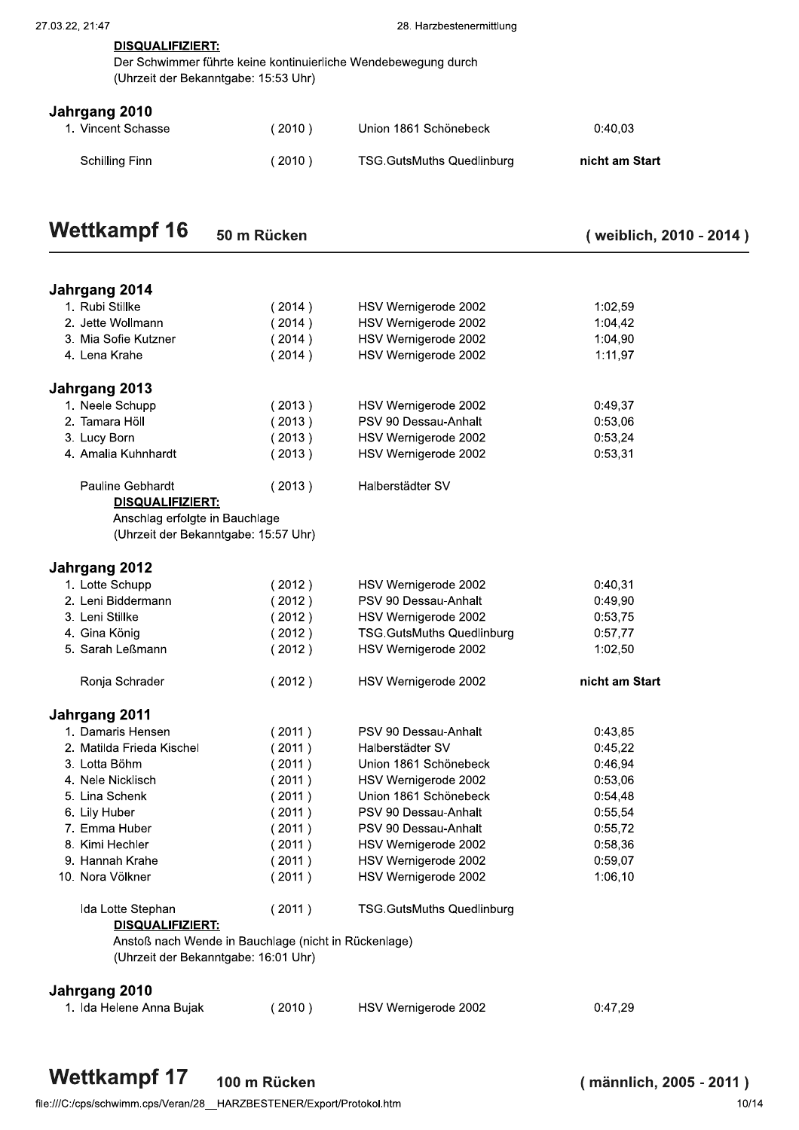| <b>DIOGOALII ILILIAI.</b>                                  |
|------------------------------------------------------------|
| Der Schwimmer führte keine kontinuierliche Wendebewegung d |
| (Uhrzeit der Bekanntgabe: 15:53 Uhr)                       |

#### Jahrgang 2010

| <b>Wettkampf 16</b>                 | 50 m Rücken                          |                                                                | (weiblich, 2010 - 20 |
|-------------------------------------|--------------------------------------|----------------------------------------------------------------|----------------------|
| Schilling Finn                      | (2010)                               | <b>TSG.GutsMuths Quedlinburg</b>                               | nicht am Start       |
| Jahrgang 2010<br>1. Vincent Schasse | (2010)                               | Union 1861 Schönebeck                                          | 0:40,03              |
| <b>DISQUALIFIZIERT:</b>             | (Uhrzeit der Bekanntgabe: 15:53 Uhr) | Der Schwimmer führte keine kontinuierliche Wendebewegung durch |                      |
| 27.03.22, 21:47                     |                                      | 28. Harzbestenermittlung                                       |                      |

| <b>Wettkampf 16</b><br>50 m Rücken<br>(weiblich, 2010 - 2014 ) |
|----------------------------------------------------------------|
|----------------------------------------------------------------|

| (weiblich, 2010 - 2014) |  |  |
|-------------------------|--|--|
|-------------------------|--|--|

| Jahrgang 2014                                                                   |        |                                  |                |
|---------------------------------------------------------------------------------|--------|----------------------------------|----------------|
| 1. Rubi Stillke                                                                 | (2014) | HSV Wernigerode 2002             | 1:02,59        |
| 2. Jette Wollmann                                                               | (2014) | HSV Wernigerode 2002             | 1:04,42        |
| 3. Mia Sofie Kutzner                                                            | (2014) | HSV Wernigerode 2002             | 1:04,90        |
| 4. Lena Krahe                                                                   | (2014) | HSV Wernigerode 2002             | 1:11,97        |
| Jahrgang 2013                                                                   |        |                                  |                |
| 1. Neele Schupp                                                                 | (2013) | HSV Wernigerode 2002             | 0:49,37        |
| 2. Tamara Höll                                                                  | (2013) | PSV 90 Dessau-Anhalt             | 0:53,06        |
| 3. Lucy Born                                                                    | (2013) | HSV Wernigerode 2002             | 0:53,24        |
| 4. Amalia Kuhnhardt                                                             | (2013) | HSV Wernigerode 2002             | 0:53,31        |
| Pauline Gebhardt                                                                | (2013) | Halberstädter SV                 |                |
| DISQUALIFIZIERT:                                                                |        |                                  |                |
| Anschlag erfolgte in Bauchlage<br>(Uhrzeit der Bekanntgabe: 15:57 Uhr)          |        |                                  |                |
| Jahrgang 2012                                                                   |        |                                  |                |
| 1. Lotte Schupp                                                                 | (2012) | HSV Wernigerode 2002             | 0:40,31        |
| 2. Leni Biddermann                                                              | (2012) | PSV 90 Dessau-Anhalt             | 0:49,90        |
| 3. Leni Stillke                                                                 | (2012) | HSV Wernigerode 2002             | 0:53,75        |
| 4. Gina König                                                                   | (2012) | <b>TSG.GutsMuths Quedlinburg</b> | 0:57,77        |
| 5. Sarah Leßmann                                                                | (2012) | HSV Wernigerode 2002             | 1:02,50        |
| Ronja Schrader                                                                  | (2012) | HSV Wernigerode 2002             | nicht am Start |
| Jahrgang 2011                                                                   |        |                                  |                |
| 1. Damaris Hensen                                                               | (2011) | PSV 90 Dessau-Anhalt             | 0:43,85        |
| 2. Matilda Frieda Kischel                                                       | (2011) | Halberstädter SV                 | 0:45,22        |
| 3. Lotta Böhm                                                                   | (2011) | Union 1861 Schönebeck            | 0:46,94        |
| 4. Nele Nicklisch                                                               | (2011) | HSV Wernigerode 2002             | 0:53,06        |
| 5. Lina Schenk                                                                  | (2011) | Union 1861 Schönebeck            | 0:54,48        |
| 6. Lily Huber                                                                   | (2011) | PSV 90 Dessau-Anhalt             | 0:55,54        |
| 7. Emma Huber                                                                   | (2011) | PSV 90 Dessau-Anhalt             | 0:55,72        |
| 8. Kimi Hechler                                                                 | (2011) | HSV Wernigerode 2002             | 0:58,36        |
| 9. Hannah Krahe                                                                 | (2011) | HSV Wernigerode 2002             | 0:59,07        |
| 10. Nora Völkner                                                                | (2011) | HSV Wernigerode 2002             | 1:06,10        |
| Ida Lotte Stephan                                                               | (2011) | <b>TSG.GutsMuths Quedlinburg</b> |                |
| <u>DISQUALIFIZIERT:</u><br>Anstoß nach Wende in Bauchlage (nicht in Rückenlage) |        |                                  |                |
| (Uhrzeit der Bekanntgabe: 16:01 Uhr)                                            |        |                                  |                |
| Jahrgang 2010                                                                   |        |                                  |                |
| 1. Ida Helene Anna Bujak                                                        | (2010) | HSV Wernigerode 2002             | 0:47,29        |
|                                                                                 |        |                                  |                |

**Wettkampf 17** 100 m Rücken (männlich, 2005 - 2011)<br>e:///C:/cps/schwimm.cps/Veran/28\_HARZBESTENER/Export/Protokol.htm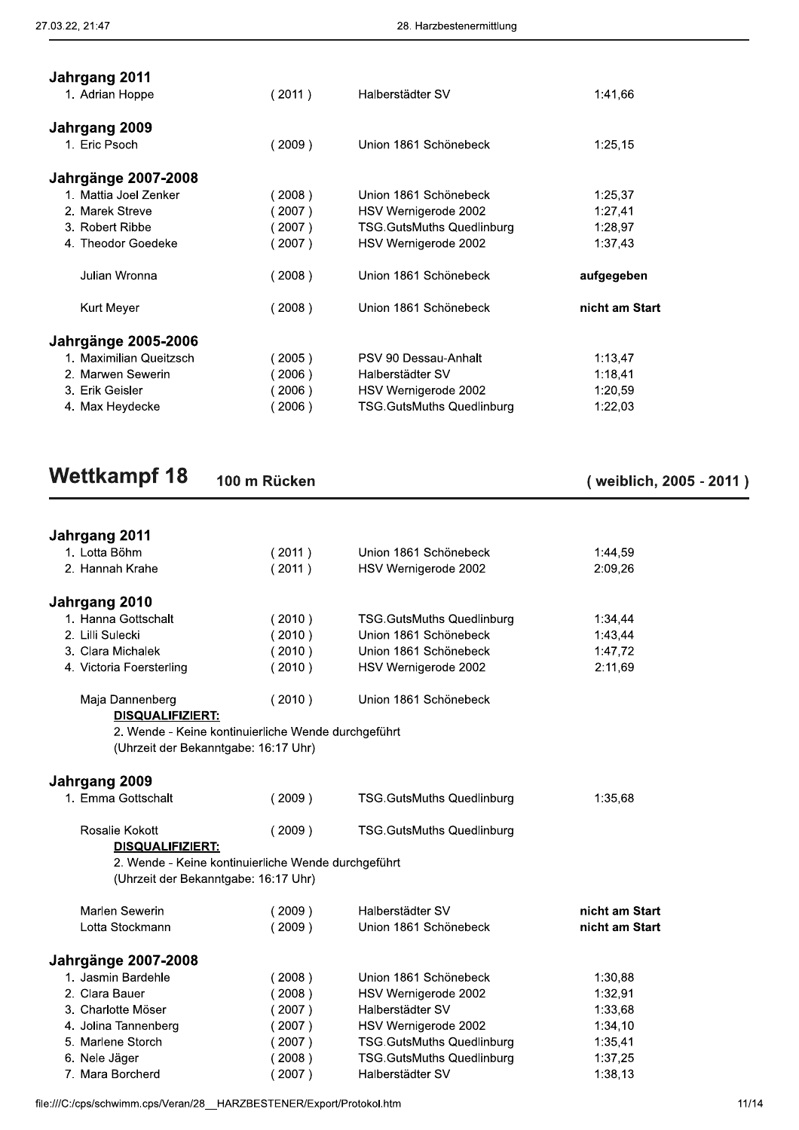| (2007)<br>(2008)<br>(2008)<br>(2005)<br>(2006)<br>(2006)<br>(2006) | HSV Wernigerode 2002<br>Union 1861 Schönebeck<br>Union 1861 Schönebeck<br>PSV 90 Dessau-Anhalt<br>Halberstädter SV<br>HSV Wernigerode 2002<br><b>TSG.GutsMuths Quedlinburg</b> | 1:37,43<br>aufgegeben<br>nicht am Start<br>1:13,47<br>1:18,41<br>1:20,59<br>1:22,03  |
|--------------------------------------------------------------------|--------------------------------------------------------------------------------------------------------------------------------------------------------------------------------|--------------------------------------------------------------------------------------|
|                                                                    |                                                                                                                                                                                |                                                                                      |
|                                                                    |                                                                                                                                                                                |                                                                                      |
|                                                                    |                                                                                                                                                                                |                                                                                      |
|                                                                    |                                                                                                                                                                                |                                                                                      |
|                                                                    |                                                                                                                                                                                |                                                                                      |
|                                                                    |                                                                                                                                                                                |                                                                                      |
|                                                                    |                                                                                                                                                                                |                                                                                      |
|                                                                    |                                                                                                                                                                                | 1:28,97                                                                              |
|                                                                    |                                                                                                                                                                                | 1:27,41                                                                              |
|                                                                    | Union 1861 Schönebeck                                                                                                                                                          | 1:25,37                                                                              |
|                                                                    |                                                                                                                                                                                |                                                                                      |
| (2009)                                                             | Union 1861 Schönebeck                                                                                                                                                          | 1:25,15                                                                              |
|                                                                    |                                                                                                                                                                                |                                                                                      |
| (2011)                                                             | Halberstädter SV                                                                                                                                                               | 1:41,66                                                                              |
|                                                                    |                                                                                                                                                                                |                                                                                      |
|                                                                    |                                                                                                                                                                                |                                                                                      |
|                                                                    | (2008)<br>(2007)<br>(2007)                                                                                                                                                     | 28. Harzbestenermittlung<br>HSV Wernigerode 2002<br><b>TSG.GutsMuths Quedlinburg</b> |

| <b>Wettkampf 18</b> |  | 100 m Rücken |
|---------------------|--|--------------|
|---------------------|--|--------------|

(weiblich, 2005 - 2011)

| <b>Wettkampf 18</b>                  | 100 m Rücken                                        |                                  | (weiblich, 2005 - 20 |
|--------------------------------------|-----------------------------------------------------|----------------------------------|----------------------|
| Jahrgang 2011                        |                                                     |                                  |                      |
| 1. Lotta Böhm                        | (2011)                                              | Union 1861 Schönebeck            | 1:44,59              |
| 2. Hannah Krahe                      | (2011)                                              | HSV Wernigerode 2002             | 2:09,26              |
| Jahrgang 2010                        |                                                     |                                  |                      |
| 1. Hanna Gottschalt                  | (2010)                                              | <b>TSG.GutsMuths Quedlinburg</b> | 1:34,44              |
| 2. Lilli Sulecki                     | (2010)                                              | Union 1861 Schönebeck            | 1:43,44              |
| 3. Clara Michalek                    | (2010)                                              | Union 1861 Schönebeck            | 1:47,72              |
| 4. Victoria Foersterling             | (2010)                                              | HSV Wernigerode 2002             | 2:11,69              |
| Maja Dannenberg                      | (2010)                                              | Union 1861 Schönebeck            |                      |
| DISQUALIFIZIERT:                     |                                                     |                                  |                      |
|                                      | 2. Wende - Keine kontinuierliche Wende durchgeführt |                                  |                      |
| (Uhrzeit der Bekanntgabe: 16:17 Uhr) |                                                     |                                  |                      |
| Jahrgang 2009                        |                                                     |                                  |                      |
| 1. Emma Gottschalt                   | (2009)                                              | <b>TSG.GutsMuths Quedlinburg</b> | 1:35,68              |
| Rosalie Kokott                       | (2009)                                              | <b>TSG.GutsMuths Quedlinburg</b> |                      |
| DISQUALIFIZIERT:                     |                                                     |                                  |                      |
| (Uhrzeit der Bekanntgabe: 16:17 Uhr) | 2. Wende - Keine kontinuierliche Wende durchgeführt |                                  |                      |
|                                      |                                                     |                                  |                      |
| Marlen Sewerin                       | (2009)                                              | Halberstädter SV                 | nicht am Start       |
| Lotta Stockmann                      | (2009)                                              | Union 1861 Schönebeck            | nicht am Start       |
| <b>Jahrgänge 2007-2008</b>           |                                                     |                                  |                      |
| 1. Jasmin Bardehle                   | (2008)                                              | Union 1861 Schönebeck            | 1:30,88              |
| 2. Clara Bauer                       | (2008)                                              | HSV Wernigerode 2002             | 1:32,91              |
| 3. Charlotte Möser                   | (2007)                                              | Halberstädter SV                 | 1:33,68              |
| 4. Jolina Tannenberg                 | (2007)                                              | HSV Wernigerode 2002             | 1:34,10              |
| 5. Marlene Storch                    | (2007)                                              | TSG.GutsMuths Quedlinburg        | 1:35,41              |
| 6. Nele Jäger                        | (2008)                                              | <b>TSG.GutsMuths Quedlinburg</b> | 1:37,25              |
| 7. Mara Borcherd                     | (2007)                                              | Halberstädter SV                 | 1:38,13              |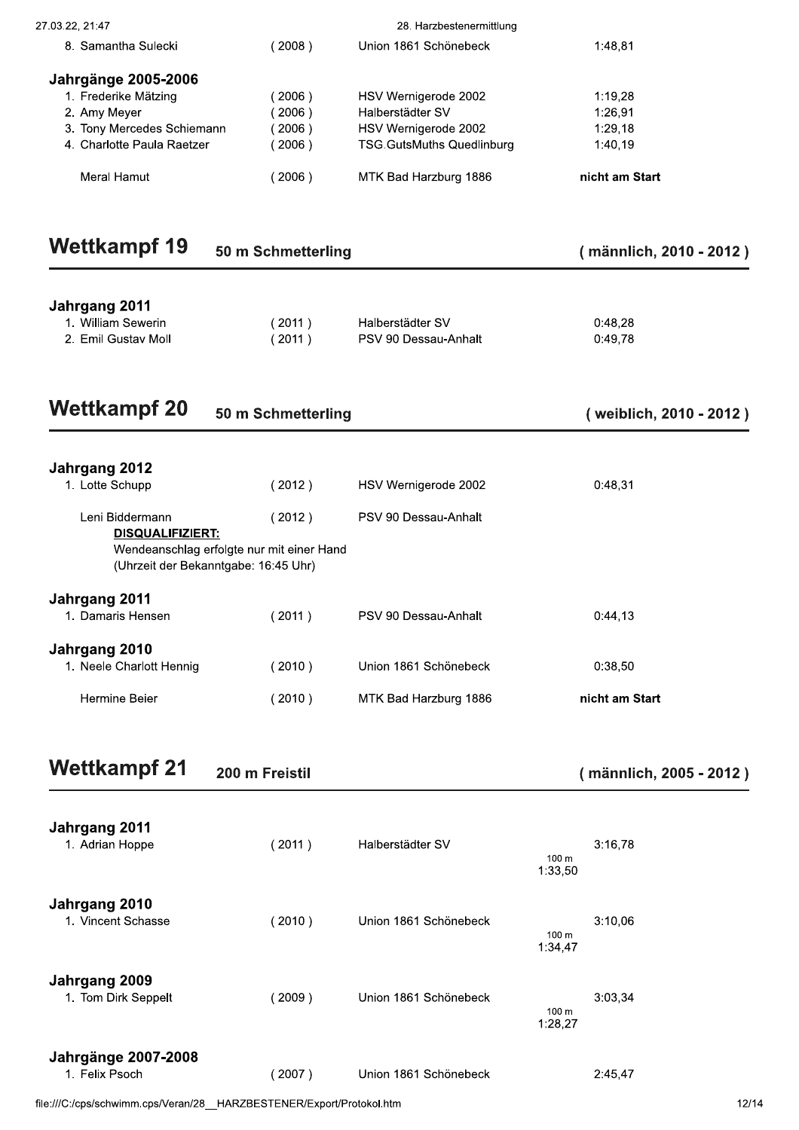| 27.03.22, 21:47<br>8. Samantha Sulecki                                | (2008)                                                                            | 28. Harzbestenermittlung<br>Union 1861 Schönebeck |                  | 1:48,81                 |      |
|-----------------------------------------------------------------------|-----------------------------------------------------------------------------------|---------------------------------------------------|------------------|-------------------------|------|
|                                                                       |                                                                                   |                                                   |                  |                         |      |
| Jahrgänge 2005-2006                                                   |                                                                                   |                                                   |                  |                         |      |
| 1. Frederike Mätzing<br>2. Amy Meyer                                  | (2006)<br>(2006)                                                                  | HSV Wernigerode 2002<br>Halberstädter SV          |                  | 1:19,28<br>1:26,91      |      |
| 3. Tony Mercedes Schiemann                                            | (2006)                                                                            | HSV Wernigerode 2002                              |                  | 1:29,18                 |      |
| 4. Charlotte Paula Raetzer                                            | (2006)                                                                            | <b>TSG.GutsMuths Quedlinburg</b>                  |                  | 1:40,19                 |      |
| Meral Hamut                                                           | (2006)                                                                            | MTK Bad Harzburg 1886                             |                  | nicht am Start          |      |
| <b>Wettkampf 19</b>                                                   | 50 m Schmetterling                                                                |                                                   |                  | (männlich, 2010 - 2012) |      |
| Jahrgang 2011                                                         |                                                                                   |                                                   |                  |                         |      |
| 1. William Sewerin<br>2. Emil Gustav Moll                             | (2011)<br>(2011)                                                                  | Halberstädter SV<br>PSV 90 Dessau-Anhalt          |                  | 0:48,28<br>0:49,78      |      |
| <b>Wettkampf 20</b>                                                   | 50 m Schmetterling                                                                |                                                   |                  | (weiblich, 2010 - 2012) |      |
|                                                                       |                                                                                   |                                                   |                  |                         |      |
| Jahrgang 2012<br>1. Lotte Schupp                                      | (2012)                                                                            | HSV Wernigerode 2002                              |                  | 0:48,31                 |      |
| Leni Biddermann                                                       | (2012)                                                                            | PSV 90 Dessau-Anhalt                              |                  |                         |      |
| <b>DISQUALIFIZIERT:</b>                                               | Wendeanschlag erfolgte nur mit einer Hand<br>(Uhrzeit der Bekanntgabe: 16:45 Uhr) |                                                   |                  |                         |      |
| Jahrgang 2011<br>1. Damaris Hensen                                    | (2011)                                                                            | PSV 90 Dessau-Anhalt                              |                  | 0:44,13                 |      |
| Jahrgang 2010<br>1. Neele Charlott Hennig                             | (2010)                                                                            | Union 1861 Schönebeck                             |                  | 0:38,50                 |      |
| Hermine Beier                                                         | (2010)                                                                            | MTK Bad Harzburg 1886                             |                  | nicht am Start          |      |
| <b>Wettkampf 21</b>                                                   | 200 m Freistil                                                                    |                                                   |                  | (männlich, 2005 - 2012) |      |
| Jahrgang 2011                                                         |                                                                                   |                                                   |                  |                         |      |
| 1. Adrian Hoppe                                                       | (2011)                                                                            | Halberstädter SV                                  | 100 m<br>1:33,50 | 3:16,78                 |      |
| Jahrgang 2010<br>1. Vincent Schasse                                   | (2010)                                                                            | Union 1861 Schönebeck                             | 100 m<br>1:34,47 | 3:10,06                 |      |
| Jahrgang 2009<br>1. Tom Dirk Seppelt                                  | (2009)                                                                            | Union 1861 Schönebeck                             | 100 m<br>1:28,27 | 3:03,34                 |      |
| <b>Jahrgänge 2007-2008</b><br>1. Felix Psoch                          | (2007)                                                                            | Union 1861 Schönebeck                             |                  | 2:45,47                 |      |
| file:///C:/cps/schwimm.cps/Veran/28__HARZBESTENER/Export/Protokol.htm |                                                                                   |                                                   |                  |                         | 12/1 |
|                                                                       |                                                                                   |                                                   |                  |                         |      |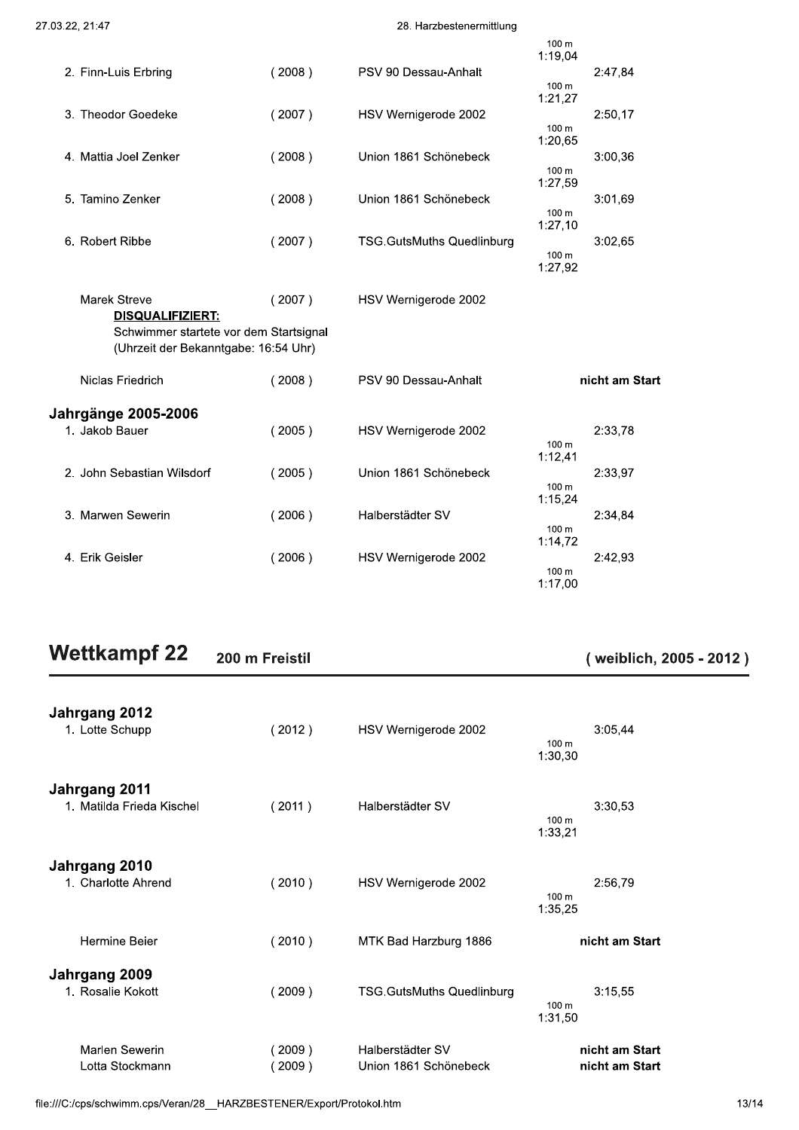#### 28. Harzbestenermittlung

|                                                                                |        |                                  | 100 m<br>1:19.04            |
|--------------------------------------------------------------------------------|--------|----------------------------------|-----------------------------|
| 2. Finn-Luis Erbring                                                           | (2008) | PSV 90 Dessau-Anhalt             | 2:47,84                     |
|                                                                                |        |                                  | 100 <sub>m</sub><br>1:21,27 |
| 3. Theodor Goedeke                                                             | (2007) | HSV Wernigerode 2002             | 2:50.17                     |
|                                                                                |        |                                  | 100 m                       |
| 4. Mattia Joel Zenker                                                          | (2008) | Union 1861 Schönebeck            | 1:20,65<br>3:00,36          |
|                                                                                |        |                                  | 100 m                       |
|                                                                                |        |                                  | 1:27,59                     |
| 5. Tamino Zenker                                                               | (2008) | Union 1861 Schönebeck            | 3:01.69<br>100 m            |
|                                                                                |        |                                  | 1:27,10                     |
| 6. Robert Ribbe                                                                | (2007) | <b>TSG.GutsMuths Quedlinburg</b> | 3:02,65                     |
|                                                                                |        |                                  | 100 m<br>1:27,92            |
|                                                                                |        |                                  |                             |
| <b>Marek Streve</b>                                                            | (2007) | HSV Wernigerode 2002             |                             |
| <b>DISQUALIFIZIERT:</b>                                                        |        |                                  |                             |
| Schwimmer startete vor dem Startsignal<br>(Uhrzeit der Bekanntgabe: 16:54 Uhr) |        |                                  |                             |
|                                                                                |        |                                  |                             |
| Niclas Friedrich                                                               | (2008) | PSV 90 Dessau-Anhalt             | nicht am Start              |
|                                                                                |        |                                  |                             |
| <b>Jahrgänge 2005-2006</b>                                                     |        |                                  |                             |
| 1. Jakob Bauer                                                                 | (2005) | HSV Wernigerode 2002             | 2:33,78<br>100 m            |
|                                                                                |        |                                  | 1:12,41                     |
| 2. John Sebastian Wilsdorf                                                     | (2005) | Union 1861 Schönebeck            | 2:33,97                     |
|                                                                                |        |                                  | 100 m<br>1:15,24            |
| 3. Marwen Sewerin                                                              | (2006) | Halberstädter SV                 | 2:34.84                     |
|                                                                                |        |                                  | 100 m<br>1:14,72            |
| 4. Erik Geisler                                                                | (2006) | HSV Wernigerode 2002             | 2:42,93                     |
|                                                                                |        |                                  | 100 m                       |
|                                                                                |        |                                  | 1:17,00                     |

#### **Wettkampf 22** 200 m Freistil

### (weiblich, 2005 - 2012)

| Jahrgang 2012<br>1. Lotte Schupp           | (2012)           | HSV Wernigerode 2002                      | 3:05,44<br>100 <sub>m</sub><br>1:30,30 |
|--------------------------------------------|------------------|-------------------------------------------|----------------------------------------|
| Jahrgang 2011<br>1. Matilda Frieda Kischel | (2011)           | Halberstädter SV                          | 3:30,53<br>100 <sub>m</sub><br>1:33,21 |
| Jahrgang 2010<br>1. Charlotte Ahrend       | (2010)           | HSV Wernigerode 2002                      | 2:56.79<br>100 <sub>m</sub><br>1:35,25 |
| Hermine Beier                              | (2010)           | MTK Bad Harzburg 1886                     | nicht am Start                         |
| Jahrgang 2009<br>1. Rosalie Kokott         | (2009)           | <b>TSG.GutsMuths Quedlinburg</b>          | 3:15,55<br>100 <sub>m</sub><br>1:31,50 |
| Marlen Sewerin<br>Lotta Stockmann          | (2009)<br>(2009) | Halberstädter SV<br>Union 1861 Schönebeck | nicht am Start<br>nicht am Start       |

file:///C:/cps/schwimm.cps/Veran/28\_\_HARZBESTENER/Export/Protokol.htm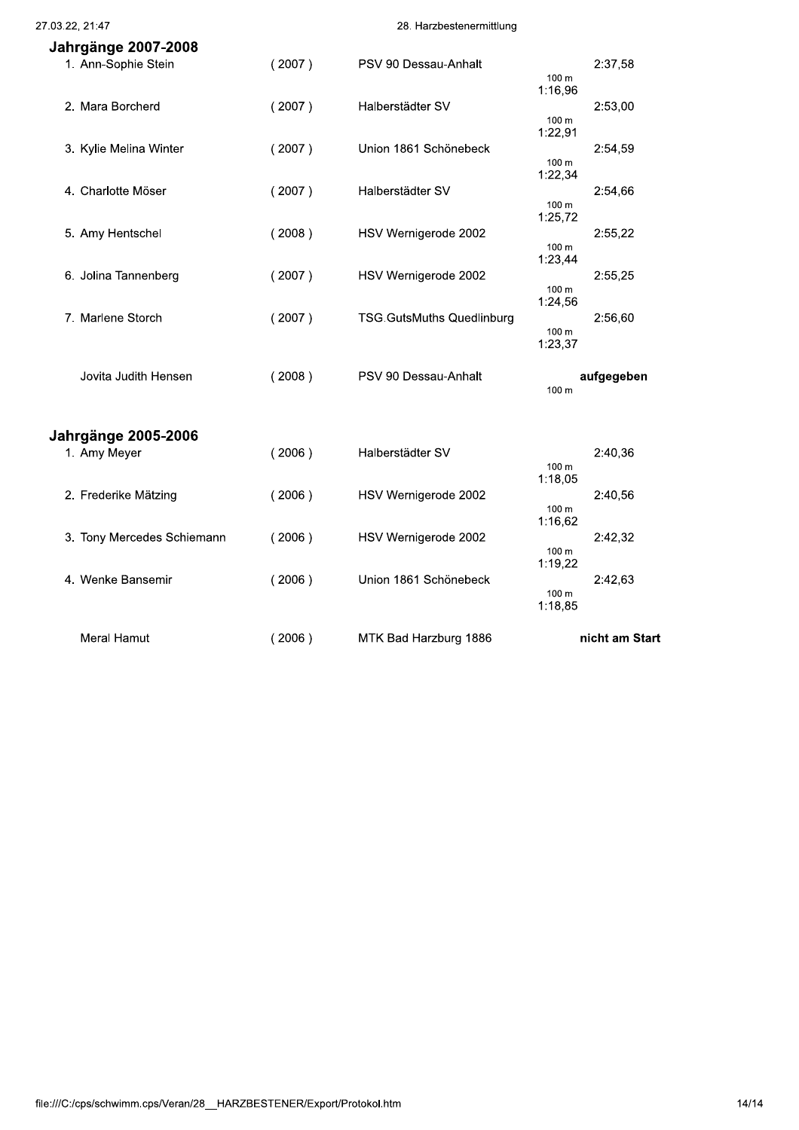27.03.22, 21:47

#### 28. Harzbestenermittlung

| Jahrgänge 2007-2008        |        |                                  |                  |
|----------------------------|--------|----------------------------------|------------------|
| 1. Ann-Sophie Stein        | (2007) | PSV 90 Dessau-Anhalt             | 2:37,58          |
|                            |        |                                  | 100 m            |
|                            |        |                                  | 1:16,96          |
| 2. Mara Borcherd           | (2007) | Halberstädter SV                 | 2:53,00          |
|                            |        |                                  | 100 m            |
|                            |        |                                  | 1:22,91          |
|                            | (2007) | Union 1861 Schönebeck            | 2:54,59          |
| 3. Kylie Melina Winter     |        |                                  | 100 m            |
|                            |        |                                  | 1:22,34          |
|                            |        |                                  |                  |
| 4. Charlotte Möser         | (2007) | Halberstädter SV                 | 2:54,66          |
|                            |        |                                  | 100 m<br>1:25,72 |
|                            |        |                                  |                  |
| 5. Amy Hentschel           | (2008) | HSV Wernigerode 2002             | 2:55,22          |
|                            |        |                                  | 100 m<br>1:23,44 |
|                            |        |                                  |                  |
| 6. Jolina Tannenberg       | (2007) | HSV Wernigerode 2002             | 2:55,25          |
|                            |        |                                  | 100 m<br>1:24,56 |
|                            |        |                                  |                  |
| 7. Marlene Storch          | (2007) | <b>TSG.GutsMuths Quedlinburg</b> | 2:56,60          |
|                            |        |                                  | 100 m<br>1:23,37 |
|                            |        |                                  |                  |
|                            |        |                                  |                  |
| Jovita Judith Hensen       | (2008) | PSV 90 Dessau-Anhalt             | aufgegeben       |
|                            |        |                                  | 100 m            |
|                            |        |                                  |                  |
|                            |        |                                  |                  |
| <b>Jahrgänge 2005-2006</b> |        |                                  |                  |
| 1. Amy Meyer               | (2006) | Halberstädter SV                 | 2:40,36          |
|                            |        |                                  | 100 m            |
|                            |        |                                  | 1:18,05          |
| 2. Frederike Mätzing       | (2006) | HSV Wernigerode 2002             | 2:40,56          |
|                            |        |                                  | 100 m            |
|                            |        |                                  | 1:16,62          |
| 3. Tony Mercedes Schiemann | (2006) | HSV Wernigerode 2002             | 2:42.32          |
|                            |        |                                  | 100 m            |
|                            |        |                                  | 1:19,22          |
| 4. Wenke Bansemir          | (2006) | Union 1861 Schönebeck            | 2:42,63          |
|                            |        |                                  | 100 m            |
|                            |        |                                  | 1:18,85          |
|                            |        |                                  |                  |
| Meral Hamut                | (2006) | MTK Bad Harzburg 1886            | nicht am Start   |
|                            |        |                                  |                  |